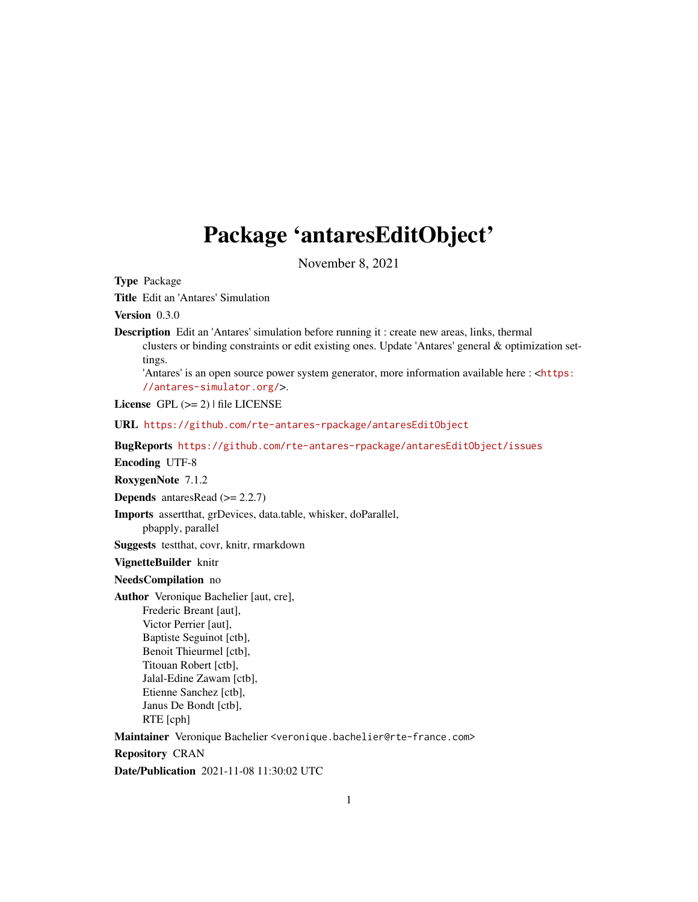# Package 'antaresEditObject'

November 8, 2021

<span id="page-0-0"></span>Type Package

Title Edit an 'Antares' Simulation

Version 0.3.0

Description Edit an 'Antares' simulation before running it : create new areas, links, thermal clusters or binding constraints or edit existing ones. Update 'Antares' general & optimization settings.

'Antares' is an open source power system generator, more information available here : <[https:](https://antares-simulator.org/) [//antares-simulator.org/](https://antares-simulator.org/)>.

License  $GPL (= 2)$  | file LICENSE

URL <https://github.com/rte-antares-rpackage/antaresEditObject>

BugReports <https://github.com/rte-antares-rpackage/antaresEditObject/issues>

Encoding UTF-8

RoxygenNote 7.1.2

**Depends** antaresRead  $(>= 2.2.7)$ 

Imports assertthat, grDevices, data.table, whisker, doParallel, pbapply, parallel

Suggests testthat, covr, knitr, rmarkdown

VignetteBuilder knitr

NeedsCompilation no

Author Veronique Bachelier [aut, cre],

Frederic Breant [aut], Victor Perrier [aut], Baptiste Seguinot [ctb], Benoit Thieurmel [ctb], Titouan Robert [ctb], Jalal-Edine Zawam [ctb], Etienne Sanchez [ctb], Janus De Bondt [ctb], RTE [cph]

Maintainer Veronique Bachelier <veronique.bachelier@rte-france.com>

Repository CRAN

Date/Publication 2021-11-08 11:30:02 UTC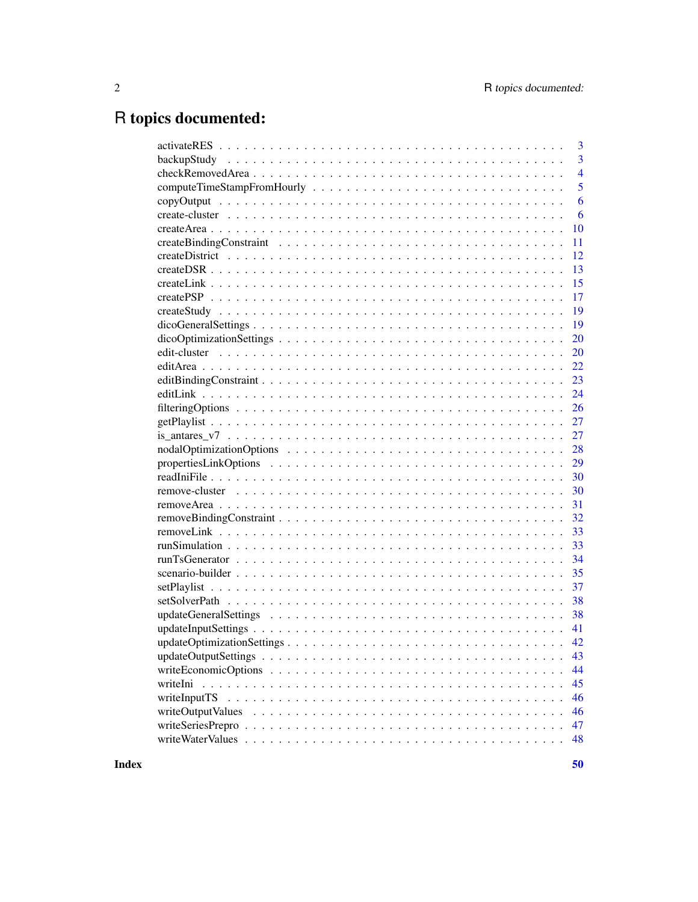# R topics documented:

|          | 3              |
|----------|----------------|
|          | $\overline{3}$ |
|          | $\overline{4}$ |
|          | 5              |
|          | 6              |
|          | 6              |
|          | 10             |
|          | 11             |
|          | 12             |
|          | 13             |
|          | 15             |
|          | 17             |
|          | 19             |
|          | 19             |
|          | 20             |
|          | -20            |
|          |                |
|          |                |
|          |                |
|          |                |
|          |                |
|          |                |
|          | 28             |
|          | 29             |
|          | 30             |
|          | 30             |
|          |                |
|          |                |
|          |                |
|          |                |
|          |                |
|          |                |
|          | 37             |
|          |                |
|          |                |
|          | 41             |
|          |                |
|          | 43             |
|          | 44             |
| writeIni | 45             |
|          | 46             |
|          | 46             |
|          | 47             |
|          | 48             |
|          |                |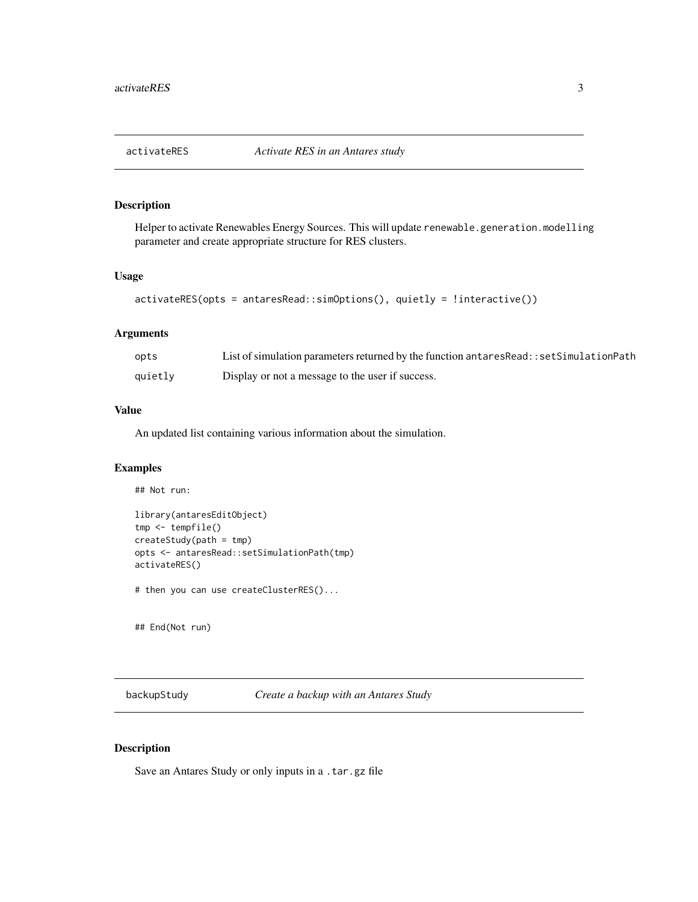<span id="page-2-0"></span>

# Description

Helper to activate Renewables Energy Sources. This will update renewable.generation.modelling parameter and create appropriate structure for RES clusters.

#### Usage

```
activateRES(opts = antaresRead::simOptions(), quietly = !interactive())
```
## Arguments

| opts    | List of simulation parameters returned by the function antares Read: : set Simulation Path |
|---------|--------------------------------------------------------------------------------------------|
| quietly | Display or not a message to the user if success.                                           |

#### Value

An updated list containing various information about the simulation.

#### Examples

## Not run:

```
library(antaresEditObject)
tmp <- tempfile()
createStudy(path = tmp)
opts <- antaresRead::setSimulationPath(tmp)
activateRES()
```
# then you can use createClusterRES()...

## End(Not run)

backupStudy *Create a backup with an Antares Study*

#### Description

Save an Antares Study or only inputs in a .tar.gz file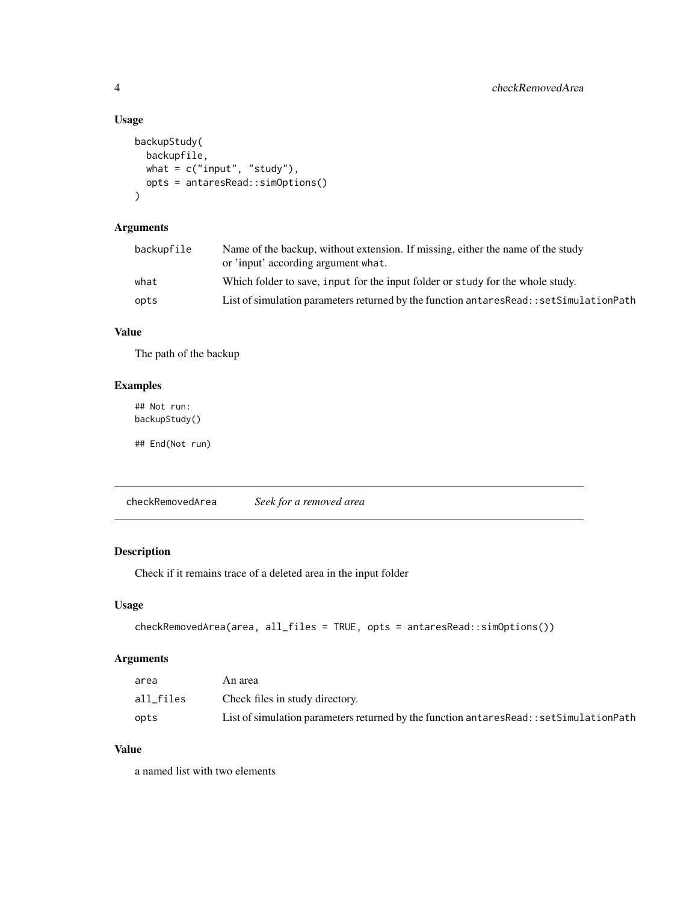#### Usage

```
backupStudy(
 backupfile,
 what = c("input", "study"),opts = antaresRead::simOptions()
)
```
# Arguments

| backupfile | Name of the backup, without extension. If missing, either the name of the study<br>or 'input' according argument what. |
|------------|------------------------------------------------------------------------------------------------------------------------|
| what       | Which folder to save, input for the input folder or study for the whole study.                                         |
| opts       | List of simulation parameters returned by the function antares Read:: set Simulation Path                              |

# Value

The path of the backup

## Examples

## Not run: backupStudy()

## End(Not run)

checkRemovedArea *Seek for a removed area*

# Description

Check if it remains trace of a deleted area in the input folder

## Usage

```
checkRemovedArea(area, all_files = TRUE, opts = antaresRead::simOptions())
```
## Arguments

| area      | An area                                                                                    |
|-----------|--------------------------------------------------------------------------------------------|
| all files | Check files in study directory.                                                            |
| opts      | List of simulation parameters returned by the function antares Read: : set Simulation Path |

## Value

a named list with two elements

<span id="page-3-0"></span>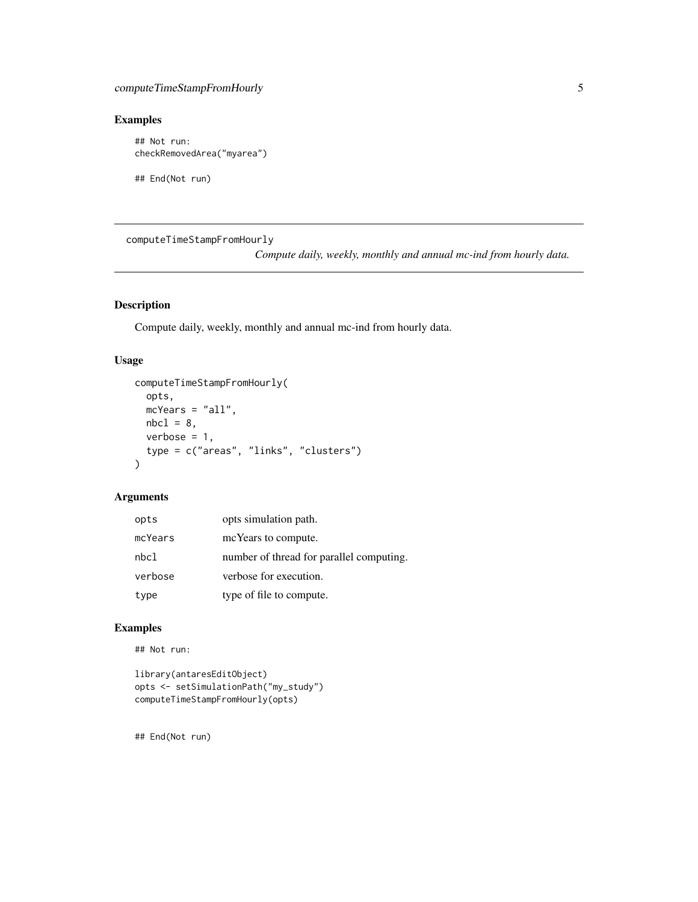# <span id="page-4-0"></span>Examples

## Not run: checkRemovedArea("myarea")

## End(Not run)

computeTimeStampFromHourly

*Compute daily, weekly, monthly and annual mc-ind from hourly data.*

## Description

Compute daily, weekly, monthly and annual mc-ind from hourly data.

#### Usage

```
computeTimeStampFromHourly(
  opts,
 mcYears = "all",
 nbc1 = 8,
 verbose = 1,
  type = c("areas", "links", "clusters")
)
```
### Arguments

| opts    | opts simulation path.                    |
|---------|------------------------------------------|
| mcYears | mc Years to compute.                     |
| nbcl    | number of thread for parallel computing. |
| verbose | verbose for execution.                   |
| type    | type of file to compute.                 |

## Examples

## Not run:

```
library(antaresEditObject)
opts <- setSimulationPath("my_study")
computeTimeStampFromHourly(opts)
```
## End(Not run)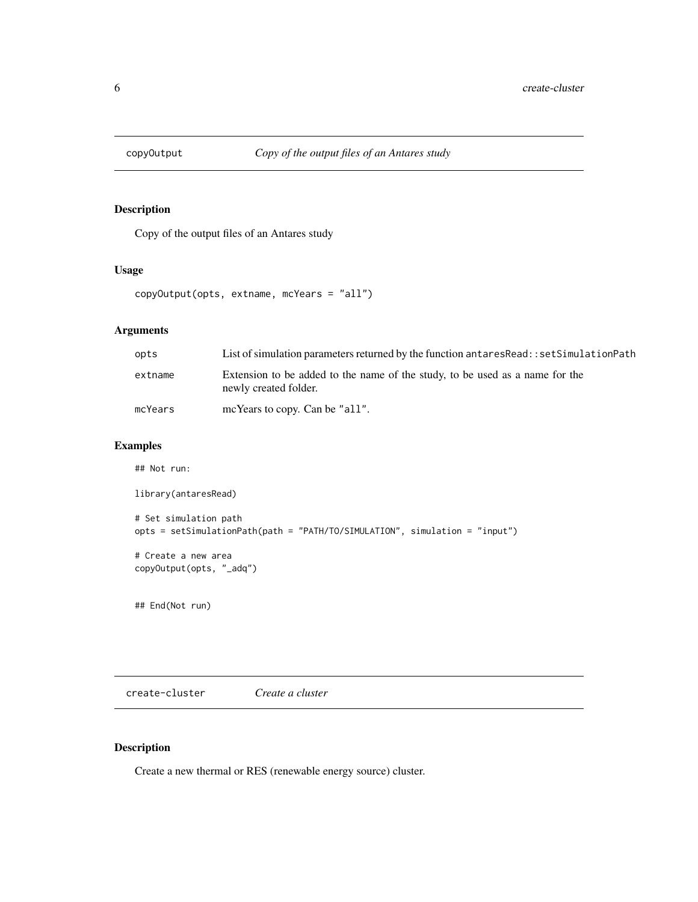<span id="page-5-0"></span>

# Description

Copy of the output files of an Antares study

#### Usage

```
copyOutput(opts, extname, mcYears = "all")
```
## Arguments

| opts    | List of simulation parameters returned by the function antares Read: : set Simulation Path            |
|---------|-------------------------------------------------------------------------------------------------------|
| extname | Extension to be added to the name of the study, to be used as a name for the<br>newly created folder. |
| mcYears | mcYears to copy. Can be "all".                                                                        |

# Examples

```
## Not run:
library(antaresRead)
# Set simulation path
opts = setSimulationPath(path = "PATH/TO/SIMULATION", simulation = "input")
# Create a new area
copyOutput(opts, "_adq")
```
## End(Not run)

create-cluster *Create a cluster*

## <span id="page-5-1"></span>Description

Create a new thermal or RES (renewable energy source) cluster.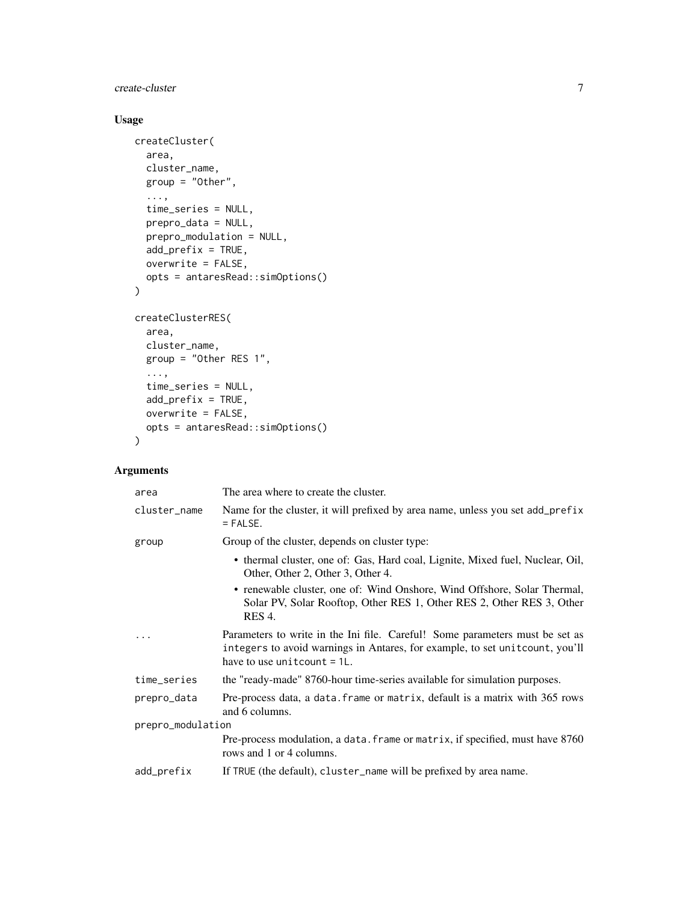create-cluster 7

# Usage

```
createCluster(
  area,
  cluster_name,
  group = "Other",
  ...,
  time_series = NULL,
  prepro_data = NULL,
  prepro_modulation = NULL,
  add_prefix = TRUE,
  overwrite = FALSE,
  opts = antaresRead::simOptions()
)
createClusterRES(
  area,
  cluster_name,
  group = "Other RES 1",
  ...,
  time_series = NULL,
  add_prefix = TRUE,
  overwrite = FALSE,
  opts = antaresRead::simOptions()
\mathcal{L}
```

| The area where to create the cluster.                                                                                                                                                            |  |  |
|--------------------------------------------------------------------------------------------------------------------------------------------------------------------------------------------------|--|--|
| Name for the cluster, it will prefixed by area name, unless you set add_prefix<br>$=$ FALSE.                                                                                                     |  |  |
| Group of the cluster, depends on cluster type:                                                                                                                                                   |  |  |
| • thermal cluster, one of: Gas, Hard coal, Lignite, Mixed fuel, Nuclear, Oil,<br>Other, Other 2, Other 3, Other 4.                                                                               |  |  |
| • renewable cluster, one of: Wind Onshore, Wind Offshore, Solar Thermal,<br>Solar PV, Solar Rooftop, Other RES 1, Other RES 2, Other RES 3, Other<br><b>RES 4.</b>                               |  |  |
| Parameters to write in the Ini file. Careful! Some parameters must be set as<br>integers to avoid warnings in Antares, for example, to set unit count, you'll<br>have to use unit count $= 1L$ . |  |  |
| the "ready-made" 8760-hour time-series available for simulation purposes.                                                                                                                        |  |  |
| Pre-process data, a data. frame or matrix, default is a matrix with 365 rows<br>and 6 columns.                                                                                                   |  |  |
| prepro_modulation                                                                                                                                                                                |  |  |
| Pre-process modulation, a data. frame or matrix, if specified, must have 8760<br>rows and 1 or 4 columns.                                                                                        |  |  |
| If TRUE (the default), cluster_name will be prefixed by area name.                                                                                                                               |  |  |
|                                                                                                                                                                                                  |  |  |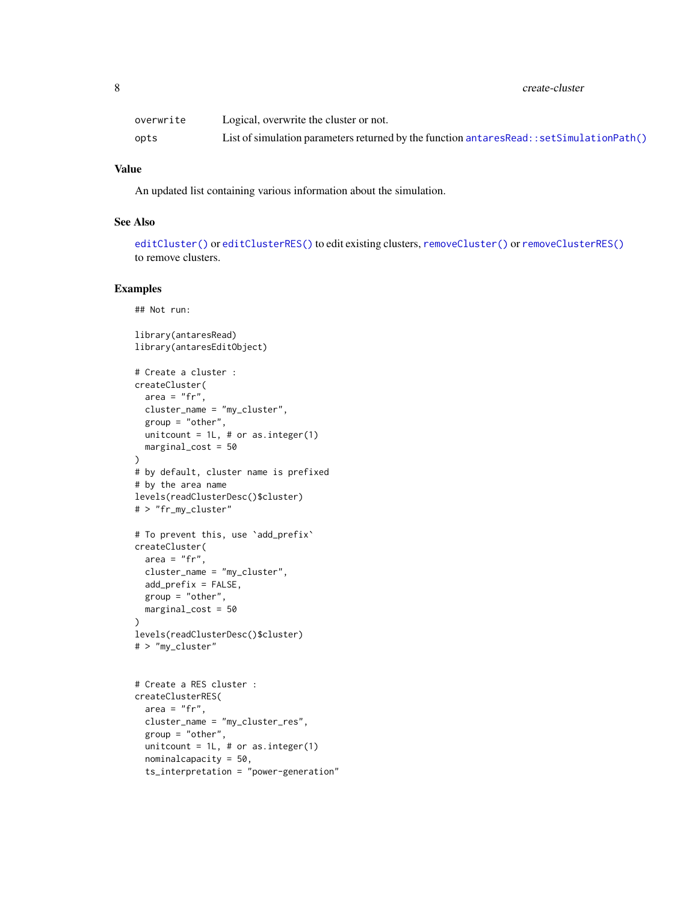<span id="page-7-0"></span>

| overwrite | Logical, overwrite the cluster or not.                                                    |
|-----------|-------------------------------------------------------------------------------------------|
| opts      | List of simulation parameters returned by the function $antaresRead::setSimulationPath()$ |

#### Value

An updated list containing various information about the simulation.

#### See Also

[editCluster\(\)](#page-19-1) or [editClusterRES\(\)](#page-19-1) to edit existing clusters, [removeCluster\(\)](#page-29-1) or [removeClusterRES\(\)](#page-29-1) to remove clusters.

#### Examples

## Not run:

```
library(antaresRead)
library(antaresEditObject)
# Create a cluster :
createCluster(
  area = "fr",cluster_name = "my_cluster",
 group = "other",
 unitcount = 1L, # or as.integer(1)
  marginal_cost = 50
)
# by default, cluster name is prefixed
# by the area name
levels(readClusterDesc()$cluster)
# > "fr_my_cluster"
# To prevent this, use 'add_prefix'
createCluster(
  area = "fr",cluster_name = "my_cluster",
  add_prefix = FALSE,
  group = "other",
  marginal_cost = 50
)
levels(readClusterDesc()$cluster)
# > "my_cluster"
# Create a RES cluster :
createClusterRES(
  area = "fr",cluster_name = "my_cluster_res",
  group = "other",
  unitcount = 1L, # or as.integer(1)
  nominalcapacity = 50,
  ts_interpretation = "power-generation"
```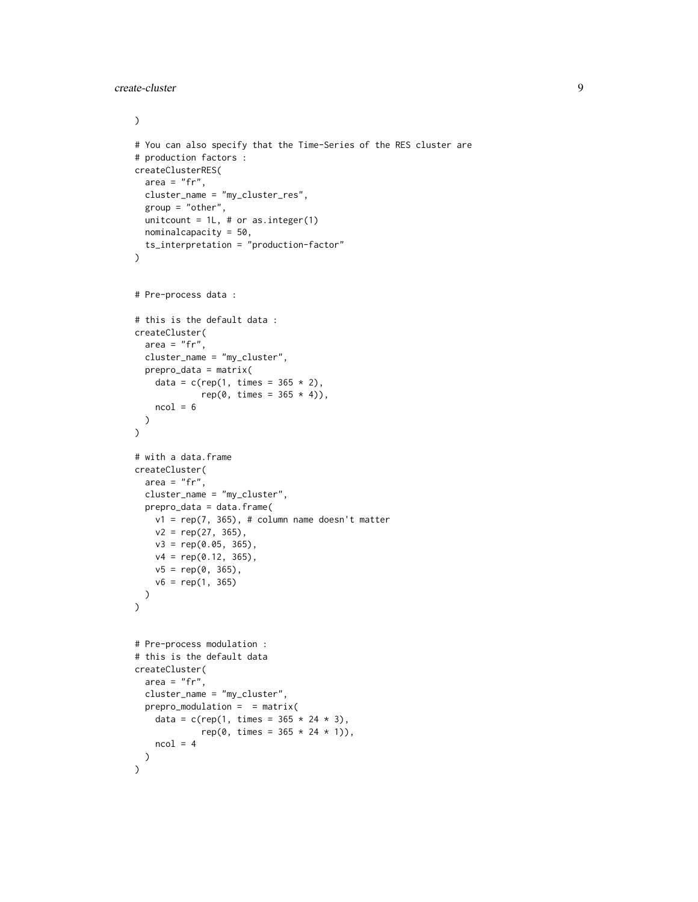create-cluster 9

```
\mathcal{L}# You can also specify that the Time-Series of the RES cluster are
# production factors :
createClusterRES(
 area = "fr",cluster_name = "my_cluster_res",
  group = "other",unitcount = 1L, # or as.integer(1)
  nominalcapacity = 50,
  ts_interpretation = "production-factor"
\mathcal{L}# Pre-process data :
# this is the default data :
createCluster(
 area = "fr",cluster_name = "my_cluster",
  prepro_data = matrix(
    data = c(rep(1, times = 365 * 2),rep(\emptyset, times = 365 * 4)),ncol = 6)
)
# with a data.frame
createCluster(
 area = "fr",cluster_name = "my_cluster",
  prepro_data = data.frame(
   v1 = rep(7, 365), # column name doesn't matter
   v2 = rep(27, 365),
   v3 = rep(0.05, 365),
   v4 = rep(0.12, 365),v5 = rep(0, 365),
   v6 = rep(1, 365)
 )
)
# Pre-process modulation :
# this is the default data
createCluster(
 area = "fr",cluster_name = "my_cluster",
  prepro_modulation = = matrix(data = c(rep(1, times = 365 * 24 * 3),rep(0, times = 365 * 24 * 1)),ncol = 4)
\mathcal{L}
```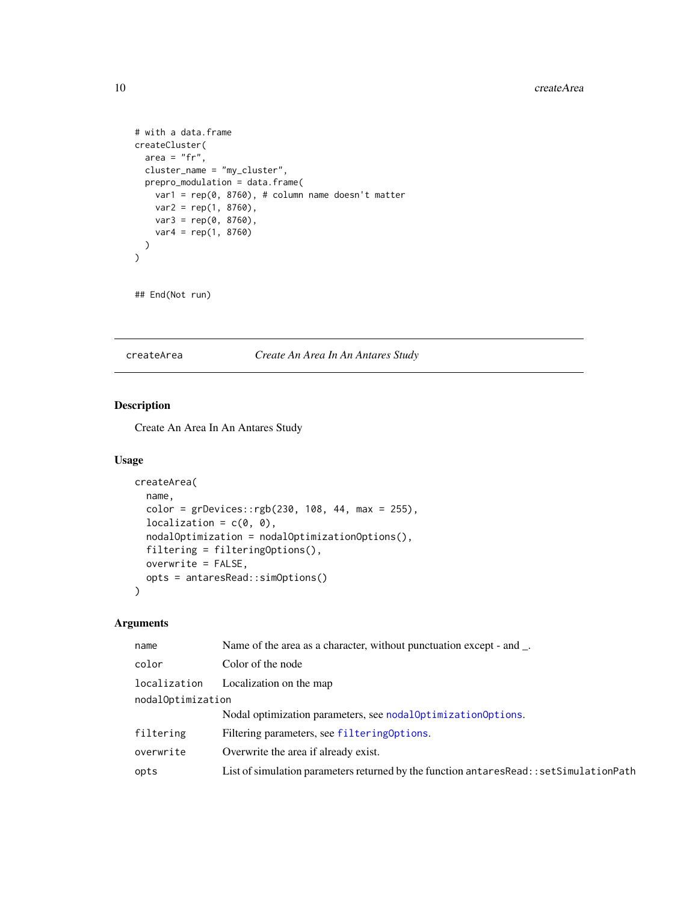```
# with a data.frame
createCluster(
  area = "fr",cluster_name = "my_cluster",
  prepro_modulation = data.frame(
    var1 = rep(0, 8760), # column name doesn't matter
    var2 = rep(1, 8760),
    var3 = rep(0, 8760),
    var4 = rep(1, 8760))
\mathcal{L}
```

```
## End(Not run)
```
createArea *Create An Area In An Antares Study*

#### Description

Create An Area In An Antares Study

#### Usage

```
createArea(
  name,
  color = grDevices::rgb(230, 108, 44, max = 255),localization = c(\theta, \theta),
  nodalOptimization = nodalOptimizationOptions(),
  filtering = filteringOptions(),
 overwrite = FALSE,
  opts = antaresRead::simOptions()
\mathcal{L}
```

| name              | Name of the area as a character, without punctuation except - and.                    |  |
|-------------------|---------------------------------------------------------------------------------------|--|
| color             | Color of the node                                                                     |  |
| localization      | Localization on the map                                                               |  |
| nodalOptimization |                                                                                       |  |
|                   | Nodal optimization parameters, see nodal Optimization Options.                        |  |
| filtering         | Filtering parameters, see filtering Options.                                          |  |
| overwrite         | Overwrite the area if already exist.                                                  |  |
| opts              | List of simulation parameters returned by the function antaresRead::setSimulationPath |  |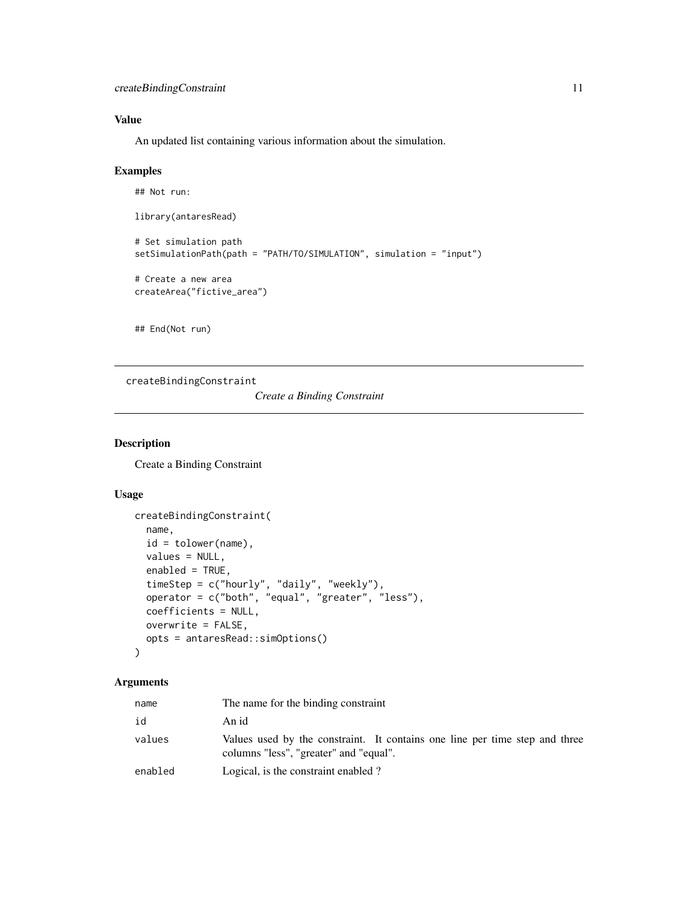# <span id="page-10-0"></span>Value

An updated list containing various information about the simulation.

#### Examples

## Not run:

library(antaresRead)

```
# Set simulation path
setSimulationPath(path = "PATH/TO/SIMULATION", simulation = "input")
# Create a new area
```
createArea("fictive\_area")

## End(Not run)

createBindingConstraint

*Create a Binding Constraint*

## Description

Create a Binding Constraint

#### Usage

```
createBindingConstraint(
  name,
  id = tolower(name),
 values = NULL,
  enabled = TRUE,
  timeStep = c("hourly", "daily", "weekly"),
  operator = c("both", "equal", "greater", "less"),
  coefficients = NULL,
  overwrite = FALSE,
  opts = antaresRead::simOptions()
)
```

| name    | The name for the binding constraint                                                                                   |
|---------|-----------------------------------------------------------------------------------------------------------------------|
| id      | An id                                                                                                                 |
| values  | Values used by the constraint. It contains one line per time step and three<br>columns "less", "greater" and "equal". |
| enabled | Logical, is the constraint enabled?                                                                                   |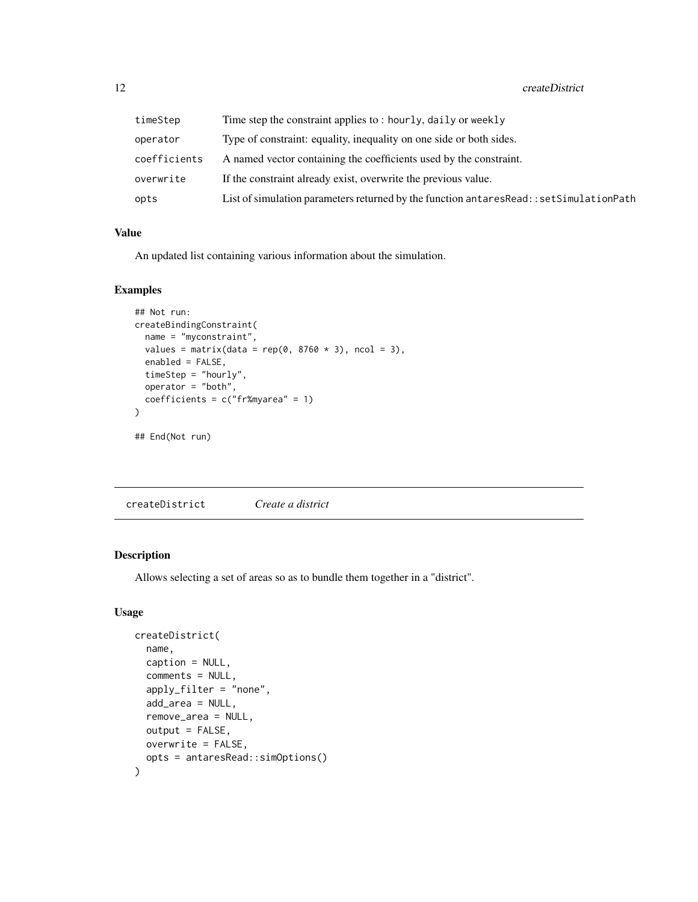<span id="page-11-0"></span>

| timeStep     | Time step the constraint applies to: hourly, daily or weekly                              |
|--------------|-------------------------------------------------------------------------------------------|
| operator     | Type of constraint: equality, inequality on one side or both sides.                       |
| coefficients | A named vector containing the coefficients used by the constraint.                        |
| overwrite    | If the constraint already exist, overwrite the previous value.                            |
| opts         | List of simulation parameters returned by the function antares Read:: set Simulation Path |

## Value

An updated list containing various information about the simulation.

## Examples

```
## Not run:
createBindingConstraint(
 name = "myconstraint",
 values = matrix(data = rep(0, 8760 * 3), ncol = 3),
 enabled = FALSE,
 timeStep = "hourly",
 operator = "both",
  coefficients = c("fr%myarea" = 1)\mathcal{L}## End(Not run)
```
createDistrict *Create a district*

## Description

Allows selecting a set of areas so as to bundle them together in a "district".

#### Usage

```
createDistrict(
  name,
  caption = NULL,
  comments = NULL,
  apply_filter = "none",
  add_area = NULL,
  remove_area = NULL,
  output = FALSE,
  overwrite = FALSE,
  opts = antaresRead::simOptions()
)
```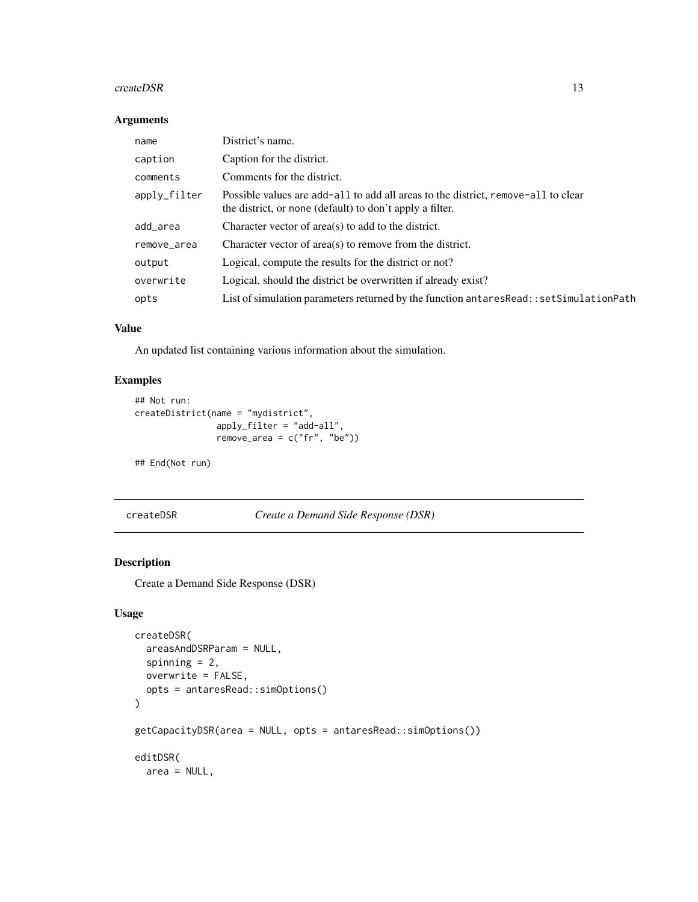#### <span id="page-12-0"></span> $\text{createDSR}$  13

#### Arguments

| name         | District's name.                                                                                                                              |
|--------------|-----------------------------------------------------------------------------------------------------------------------------------------------|
| caption      | Caption for the district.                                                                                                                     |
| comments     | Comments for the district.                                                                                                                    |
| apply_filter | Possible values are add-all to add all areas to the district, remove-all to clear<br>the district, or none (default) to don't apply a filter. |
| add_area     | Character vector of area(s) to add to the district.                                                                                           |
| remove_area  | Character vector of area(s) to remove from the district.                                                                                      |
| output       | Logical, compute the results for the district or not?                                                                                         |
| overwrite    | Logical, should the district be overwritten if already exist?                                                                                 |
| opts         | List of simulation parameters returned by the function antares Read: : set Simulation Path                                                    |

## Value

An updated list containing various information about the simulation.

# Examples

```
## Not run:
createDistrict(name = "mydistrict",
                apply_filter = "add-all",
                remove_area = c("fr", "be"))
```
## End(Not run)

createDSR *Create a Demand Side Response (DSR)*

## Description

Create a Demand Side Response (DSR)

## Usage

```
createDSR(
  areasAndDSRParam = NULL,
  spinning = 2,
  overwrite = FALSE,
  opts = antaresRead::simOptions()
\overline{)}getCapacityDSR(area = NULL, opts = antaresRead::simOptions())
editDSR(
  area = NULL,
```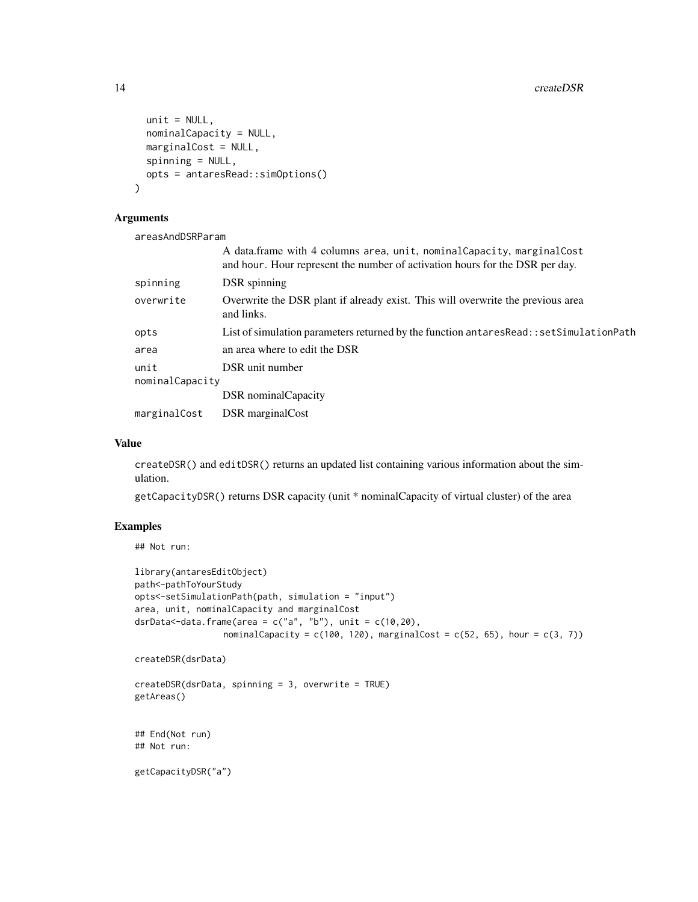```
unit = NULL,nominalCapacity = NULL,
 marginalCost = NULL,
  spinning = NULL,
  opts = antaresRead::simOptions()
\mathcal{L}
```
#### Arguments

areasAndDSRParam

|                         | A data.frame with 4 columns area, unit, nominalCapacity, marginalCost<br>and hour. Hour represent the number of activation hours for the DSR per day. |
|-------------------------|-------------------------------------------------------------------------------------------------------------------------------------------------------|
| spinning                | DSR spinning                                                                                                                                          |
| overwrite               | Overwrite the DSR plant if already exist. This will overwrite the previous area<br>and links.                                                         |
| opts                    | List of simulation parameters returned by the function antares Read: : set Simulation Path                                                            |
| area                    | an area where to edit the DSR                                                                                                                         |
| unit<br>nominalCapacity | DSR unit number                                                                                                                                       |
|                         | <b>DSR</b> nominal Capacity                                                                                                                           |
| marginalCost            | DSR marginal Cost                                                                                                                                     |

#### Value

createDSR() and editDSR() returns an updated list containing various information about the simulation.

getCapacityDSR() returns DSR capacity (unit \* nominalCapacity of virtual cluster) of the area

# Examples

## Not run:

```
library(antaresEditObject)
path<-pathToYourStudy
opts<-setSimulationPath(path, simulation = "input")
area, unit, nominalCapacity and marginalCost
dsrData<-data.frame(area = c("a", "b"), unit = c(10, 20),
                 nominalCapacity = c(100, 120), marginalCost = c(52, 65), hour = c(3, 7))
```

```
createDSR(dsrData)
```

```
createDSR(dsrData, spinning = 3, overwrite = TRUE)
getAreas()
```

```
## End(Not run)
## Not run:
```
getCapacityDSR("a")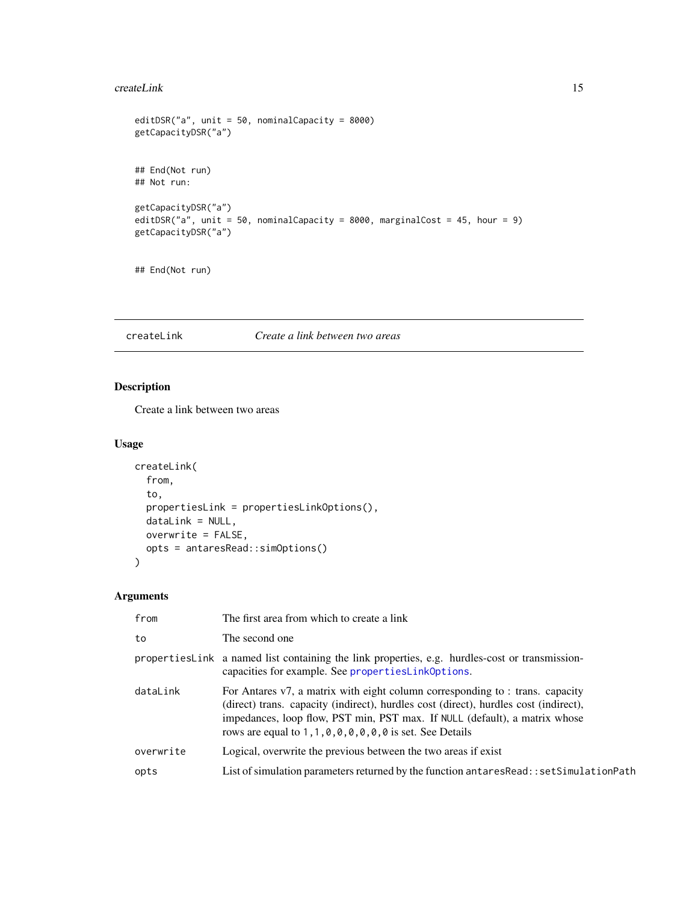#### <span id="page-14-0"></span>createLink 15

```
editDSR("a", unit = 50, nominalCapacity = 8000)
getCapacityDSR("a")
## End(Not run)
## Not run:
getCapacityDSR("a")
editDSR("a", unit = 50, nominalCapacity = 8000, marginalCost = 45, hour = 9)
getCapacityDSR("a")
```
## End(Not run)

## createLink *Create a link between two areas*

## Description

Create a link between two areas

#### Usage

```
createLink(
  from,
  to,
 propertiesLink = propertiesLinkOptions(),
 dataLink = NULL,
 overwrite = FALSE,
 opts = antaresRead::simOptions()
)
```

| from      | The first area from which to create a link                                                                                                                                                                                                                                                                            |
|-----------|-----------------------------------------------------------------------------------------------------------------------------------------------------------------------------------------------------------------------------------------------------------------------------------------------------------------------|
| to        | The second one                                                                                                                                                                                                                                                                                                        |
|           | properties Link a named list containing the link properties, e.g. hurdles-cost or transmission-<br>capacities for example. See properties Link Options.                                                                                                                                                               |
| dataLink  | For Antares v7, a matrix with eight column corresponding to : trans. capacity<br>(direct) trans. capacity (indirect), hurdles cost (direct), hurdles cost (indirect),<br>impedances, loop flow, PST min, PST max. If NULL (default), a matrix whose<br>rows are equal to $1, 1, 0, 0, 0, 0, 0, 0$ is set. See Details |
| overwrite | Logical, overwrite the previous between the two areas if exist                                                                                                                                                                                                                                                        |
| opts      | List of simulation parameters returned by the function antares Read:: set Simulation Path                                                                                                                                                                                                                             |
|           |                                                                                                                                                                                                                                                                                                                       |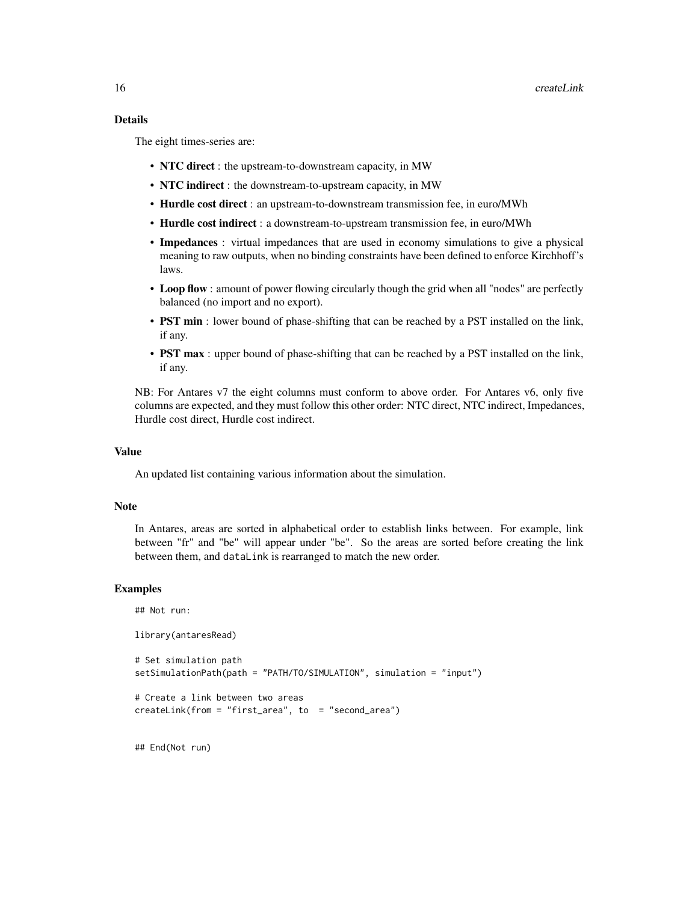## Details

The eight times-series are:

- NTC direct : the upstream-to-downstream capacity, in MW
- NTC indirect : the downstream-to-upstream capacity, in MW
- Hurdle cost direct : an upstream-to-downstream transmission fee, in euro/MWh
- Hurdle cost indirect : a downstream-to-upstream transmission fee, in euro/MWh
- Impedances : virtual impedances that are used in economy simulations to give a physical meaning to raw outputs, when no binding constraints have been defined to enforce Kirchhoff's laws.
- Loop flow : amount of power flowing circularly though the grid when all "nodes" are perfectly balanced (no import and no export).
- **PST min** : lower bound of phase-shifting that can be reached by a PST installed on the link, if any.
- PST max : upper bound of phase-shifting that can be reached by a PST installed on the link, if any.

NB: For Antares v7 the eight columns must conform to above order. For Antares v6, only five columns are expected, and they must follow this other order: NTC direct, NTC indirect, Impedances, Hurdle cost direct, Hurdle cost indirect.

#### Value

An updated list containing various information about the simulation.

#### Note

In Antares, areas are sorted in alphabetical order to establish links between. For example, link between "fr" and "be" will appear under "be". So the areas are sorted before creating the link between them, and dataLink is rearranged to match the new order.

#### Examples

```
## Not run:
library(antaresRead)
# Set simulation path
setSimulationPath(path = "PATH/TO/SIMULATION", simulation = "input")
# Create a link between two areas
createLink(from = "first_area", to = "second_area")
```
## End(Not run)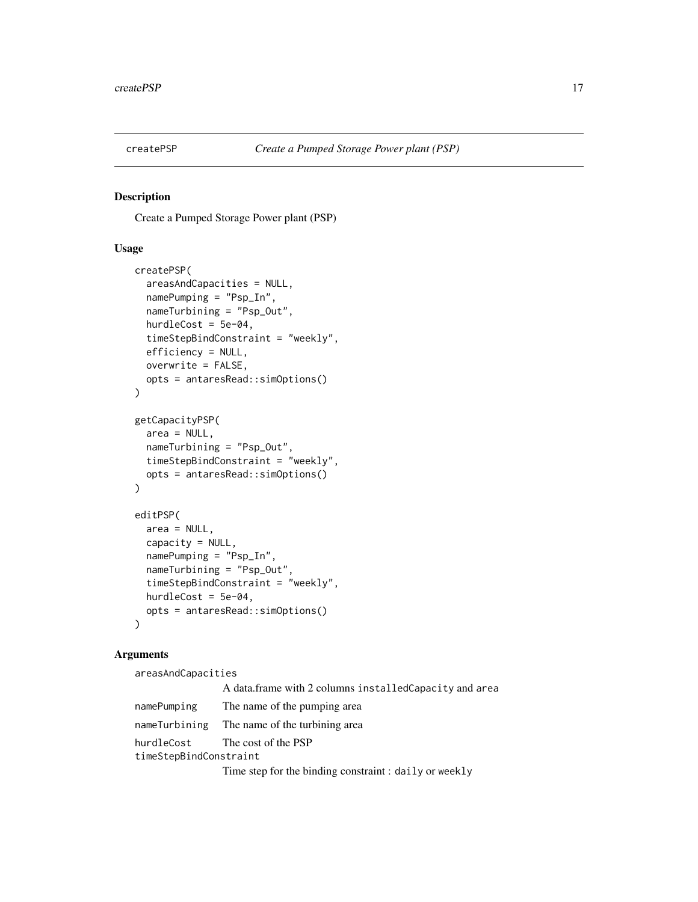<span id="page-16-0"></span>

#### Description

Create a Pumped Storage Power plant (PSP)

#### Usage

```
createPSP(
  areasAndCapacities = NULL,
  namePumping = "Psp_In",
  nameTurbining = "Psp_Out",
  hurdleCost = 5e-04,
  timeStepBindConstraint = "weekly",
  efficiency = NULL,
  overwrite = FALSE,
  opts = antaresRead::simOptions()
)
getCapacityPSP(
  area = NULL,
  nameTurbining = "Psp_Out",
  timeStepBindConstraint = "weekly",
  opts = antaresRead::simOptions()
)
editPSP(
  area = NULL,
  capacity = NULL,namePumping = "Psp_In",
  nameTurbining = "Psp_Out",
  timeStepBindConstraint = "weekly",
  hurdleCost = 5e-04,
  opts = antaresRead::simOptions()
)
```
#### Arguments

areasAndCapacities A data.frame with 2 columns installedCapacity and area namePumping The name of the pumping area nameTurbining The name of the turbining area hurdleCost The cost of the PSP timeStepBindConstraint Time step for the binding constraint : daily or weekly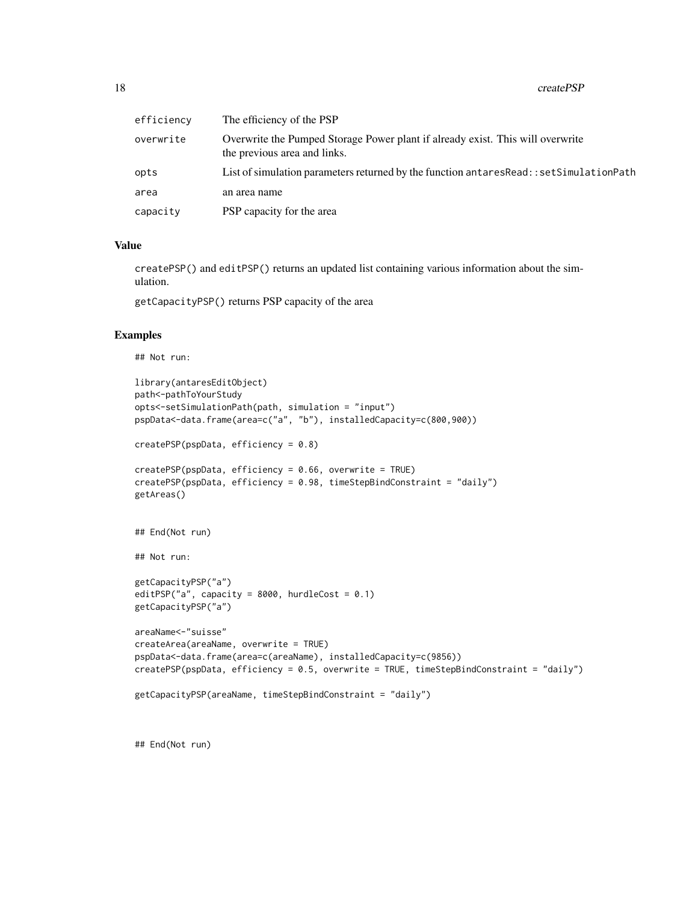| efficiency | The efficiency of the PSP                                                                                      |
|------------|----------------------------------------------------------------------------------------------------------------|
| overwrite  | Overwrite the Pumped Storage Power plant if already exist. This will overwrite<br>the previous area and links. |
| opts       | List of simulation parameters returned by the function antares Read: : set Simulation Path                     |
| area       | an area name                                                                                                   |
| capacity   | PSP capacity for the area                                                                                      |

#### Value

createPSP() and editPSP() returns an updated list containing various information about the simulation.

getCapacityPSP() returns PSP capacity of the area

#### Examples

## Not run:

```
library(antaresEditObject)
path<-pathToYourStudy
opts<-setSimulationPath(path, simulation = "input")
pspData<-data.frame(area=c("a", "b"), installedCapacity=c(800,900))
createPSP(pspData, efficiency = 0.8)
createPSP(pspData, efficiency = 0.66, overwrite = TRUE)
createPSP(pspData, efficiency = 0.98, timeStepBindConstraint = "daily")
getAreas()
## End(Not run)
## Not run:
getCapacityPSP("a")
editPSP("a", capacity = 8000, hurdleCost = 0.1)
getCapacityPSP("a")
areaName<-"suisse"
createArea(areaName, overwrite = TRUE)
pspData<-data.frame(area=c(areaName), installedCapacity=c(9856))
createPSP(pspData, efficiency = 0.5, overwrite = TRUE, timeStepBindConstraint = "daily")
getCapacityPSP(areaName, timeStepBindConstraint = "daily")
```
## End(Not run)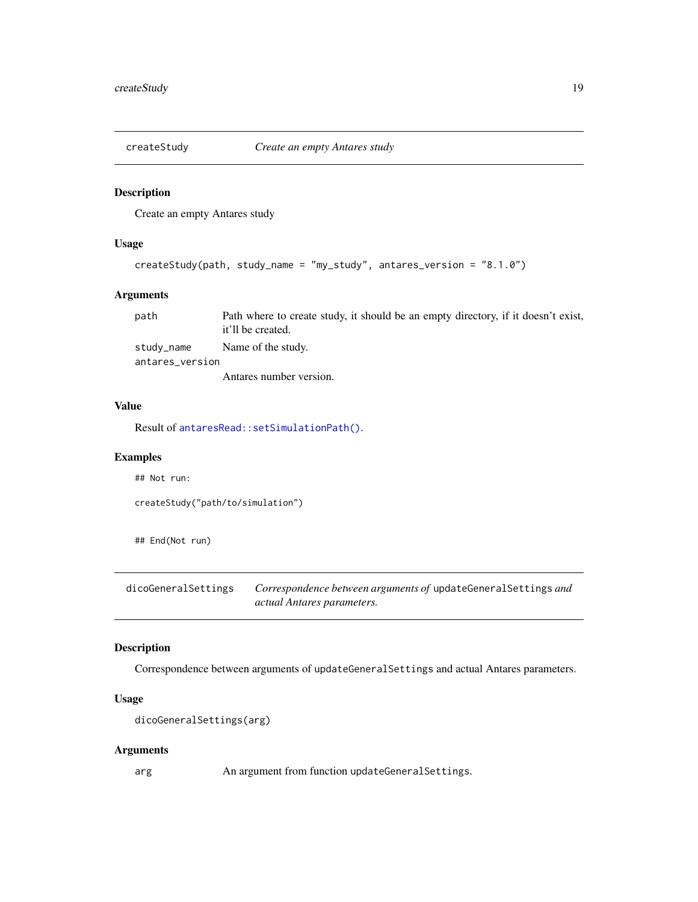<span id="page-18-0"></span>

#### Description

Create an empty Antares study

#### Usage

```
createStudy(path, study_name = "my_study", antares_version = "8.1.0")
```
## Arguments

| path            | Path where to create study, it should be an empty directory, if it doesn't exist, |
|-----------------|-----------------------------------------------------------------------------------|
|                 | it'll be created.                                                                 |
| study_name      | Name of the study.                                                                |
| antares_version |                                                                                   |
|                 | Antares number version.                                                           |

#### Value

Result of [antaresRead::setSimulationPath\(\)](#page-0-0).

#### Examples

## Not run:

```
createStudy("path/to/simulation")
```
## End(Not run)

dicoGeneralSettings *Correspondence between arguments of* updateGeneralSettings *and actual Antares parameters.*

## Description

Correspondence between arguments of updateGeneralSettings and actual Antares parameters.

#### Usage

```
dicoGeneralSettings(arg)
```
#### Arguments

arg An argument from function updateGeneralSettings.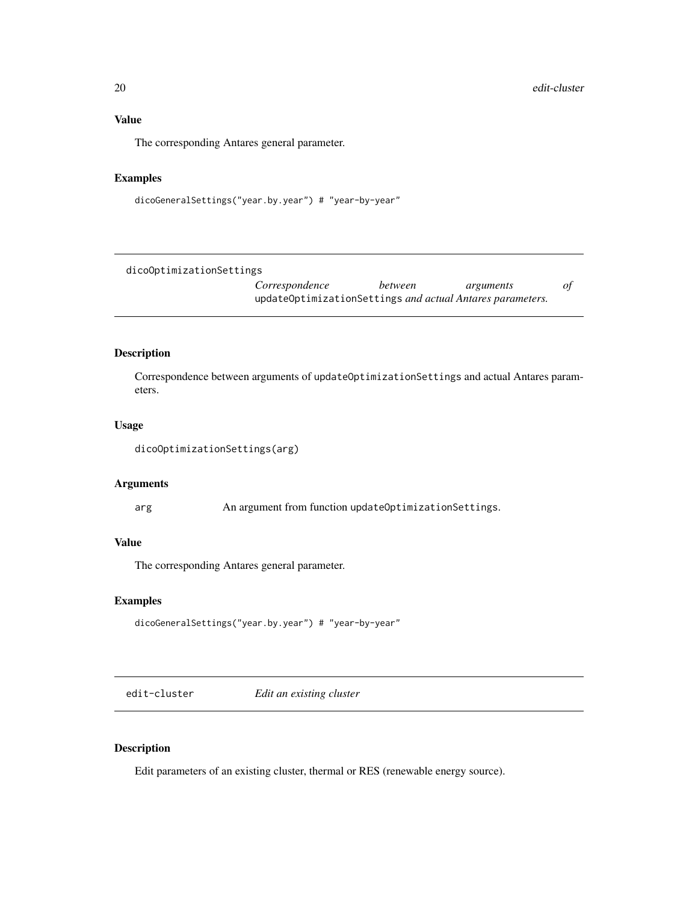# <span id="page-19-0"></span>Value

The corresponding Antares general parameter.

## Examples

dicoGeneralSettings("year.by.year") # "year-by-year"

dicoOptimizationSettings

*Correspondence between arguments of* updateOptimizationSettings *and actual Antares parameters.*

#### Description

Correspondence between arguments of updateOptimizationSettings and actual Antares parameters.

#### Usage

dicoOptimizationSettings(arg)

#### Arguments

arg An argument from function updateOptimizationSettings.

#### Value

The corresponding Antares general parameter.

## Examples

```
dicoGeneralSettings("year.by.year") # "year-by-year"
```
edit-cluster *Edit an existing cluster*

#### <span id="page-19-1"></span>Description

Edit parameters of an existing cluster, thermal or RES (renewable energy source).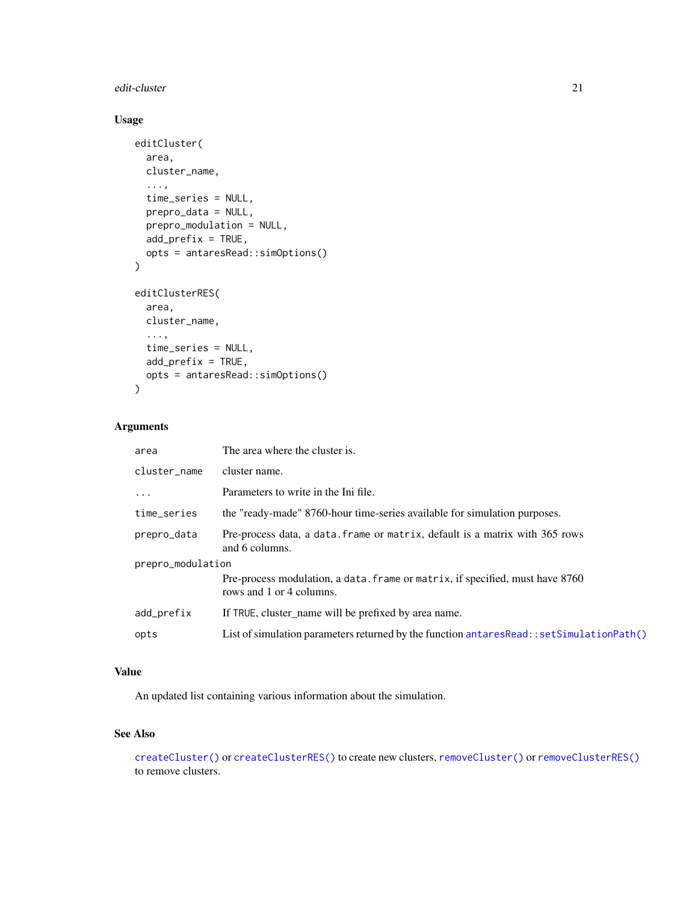#### <span id="page-20-0"></span>edit-cluster 21

## Usage

```
editCluster(
  area,
 cluster_name,
  ...,
  time_series = NULL,
 prepro_data = NULL,
 prepro_modulation = NULL,
 add_prefix = TRUE,
 opts = antaresRead::simOptions()
\mathcal{L}editClusterRES(
  area,
 cluster_name,
  ...,
  time_series = NULL,
 add_prefix = TRUE,
 opts = antaresRead::simOptions()
\mathcal{L}
```
# Arguments

| area              | The area where the cluster is.                                                                            |  |
|-------------------|-----------------------------------------------------------------------------------------------------------|--|
| cluster_name      | cluster name.                                                                                             |  |
| $\ddots$          | Parameters to write in the Ini file.                                                                      |  |
| time_series       | the "ready-made" 8760-hour time-series available for simulation purposes.                                 |  |
| prepro_data       | Pre-process data, a data. frame or matrix, default is a matrix with 365 rows<br>and 6 columns.            |  |
| prepro_modulation |                                                                                                           |  |
|                   | Pre-process modulation, a data. frame or matrix, if specified, must have 8760<br>rows and 1 or 4 columns. |  |
| add_prefix        | If TRUE, cluster_name will be prefixed by area name.                                                      |  |
| opts              | List of simulation parameters returned by the function antaresRead::setSimulationPath()                   |  |

# Value

An updated list containing various information about the simulation.

#### See Also

[createCluster\(\)](#page-5-1) or [createClusterRES\(\)](#page-5-1) to create new clusters, [removeCluster\(\)](#page-29-1) or [removeClusterRES\(\)](#page-29-1) to remove clusters.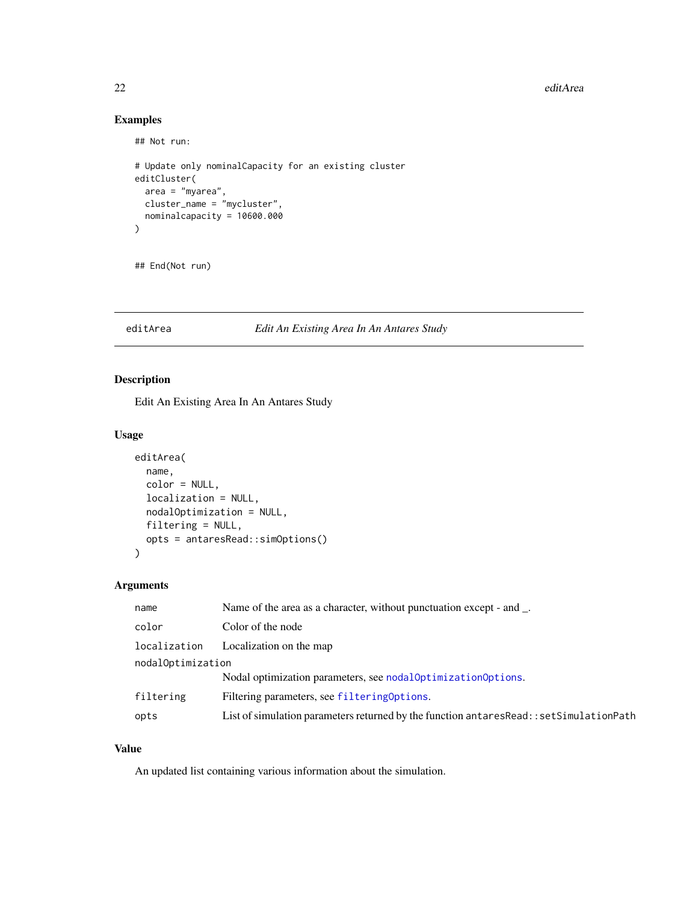22 editArea

## Examples

```
## Not run:
# Update only nominalCapacity for an existing cluster
editCluster(
  area = "myarea",
  cluster_name = "mycluster",
  nominalcapacity = 10600.000
\mathcal{L}
```
## End(Not run)

#### editArea *Edit An Existing Area In An Antares Study*

## Description

Edit An Existing Area In An Antares Study

#### Usage

```
editArea(
 name,
  color = NULL,
  localization = NULL,
  nodalOptimization = NULL,
  filtering = NULL,
 opts = antaresRead::simOptions()
)
```
#### Arguments

| name              | Name of the area as a character, without punctuation except - and _.                       |
|-------------------|--------------------------------------------------------------------------------------------|
| color             | Color of the node                                                                          |
| localization      | Localization on the map                                                                    |
| nodalOptimization |                                                                                            |
|                   | Nodal optimization parameters, see nodal Optimization Options.                             |
| filtering         | Filtering parameters, see filtering Options.                                               |
| opts              | List of simulation parameters returned by the function antares Read: : set Simulation Path |

#### Value

An updated list containing various information about the simulation.

<span id="page-21-0"></span>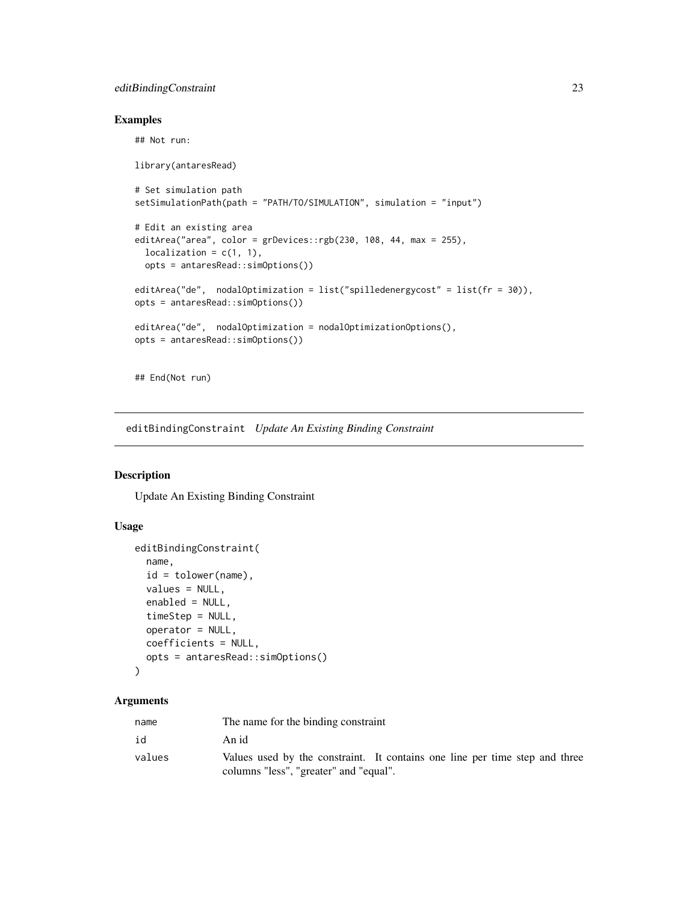## <span id="page-22-0"></span>editBindingConstraint 23

## Not run:

## Examples

```
library(antaresRead)
# Set simulation path
setSimulationPath(path = "PATH/TO/SIMULATION", simulation = "input")
# Edit an existing area
editArea("area", color = grDevices::rgb(230, 108, 44, max = 255),
  localization = c(1, 1),opts = antaresRead::simOptions())
editArea("de", nodalOptimization = list("spilledenergycost" = list(fr = 30)),
opts = antaresRead::simOptions())
editArea("de", nodalOptimization = nodalOptimizationOptions(),
opts = antaresRead::simOptions())
## End(Not run)
```
editBindingConstraint *Update An Existing Binding Constraint*

## Description

Update An Existing Binding Constraint

#### Usage

```
editBindingConstraint(
 name,
  id = tolower(name),
  values = NULL,
 enabled = NULL,
 timeStep = NULL,
 operator = NULL,
  coefficients = NULL,
 opts = antaresRead::simOptions()
\lambda
```

| name   | The name for the binding constraint                                                                                   |
|--------|-----------------------------------------------------------------------------------------------------------------------|
| id     | An id                                                                                                                 |
| values | Values used by the constraint. It contains one line per time step and three<br>columns "less", "greater" and "equal". |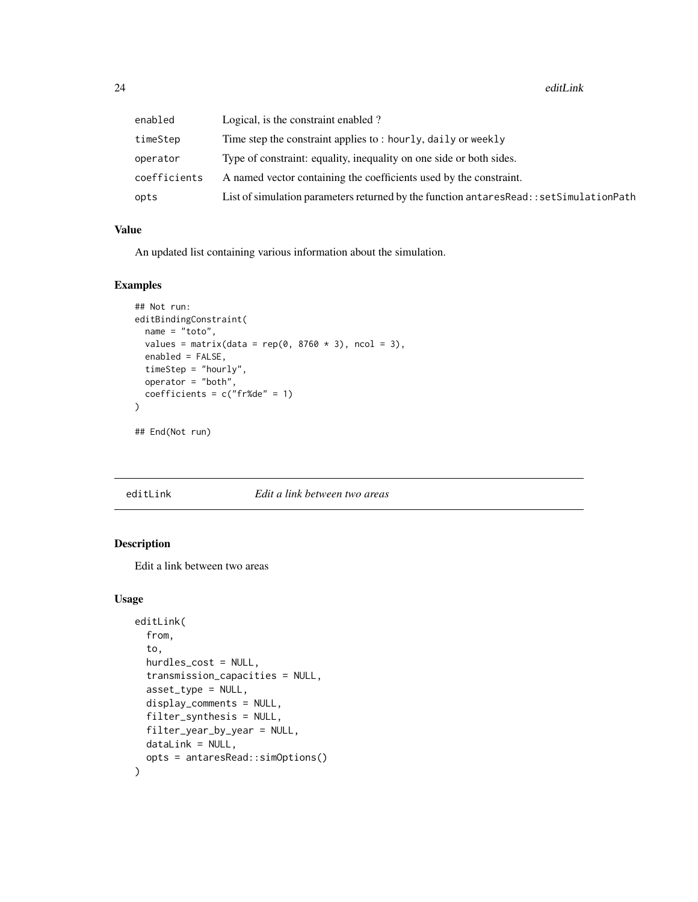<span id="page-23-0"></span>

| enabled      | Logical, is the constraint enabled?                                                        |
|--------------|--------------------------------------------------------------------------------------------|
| timeStep     | Time step the constraint applies to: hourly, daily or weekly                               |
| operator     | Type of constraint: equality, inequality on one side or both sides.                        |
| coefficients | A named vector containing the coefficients used by the constraint.                         |
| opts         | List of simulation parameters returned by the function antares Read: : set Simulation Path |

## Value

An updated list containing various information about the simulation.

#### Examples

```
## Not run:
editBindingConstraint(
 name = "toto",
  values = matrix(data = rep(0, 8760 \times 3), ncol = 3),
  enabled = FALSE,
 timeStep = "hourly",
  operator = "both",
  coefficients = c("fr%de" = 1)\mathcal{L}## End(Not run)
```
#### editLink *Edit a link between two areas*

#### Description

Edit a link between two areas

## Usage

```
editLink(
  from,
  to,
  hurdles_cost = NULL,
  transmission_capacities = NULL,
  asset_type = NULL,
  display_comments = NULL,
  filter_synthesis = NULL,
  filter_year_by_year = NULL,
  dataLink = NULL,
  opts = antaresRead::simOptions()
\mathcal{E}
```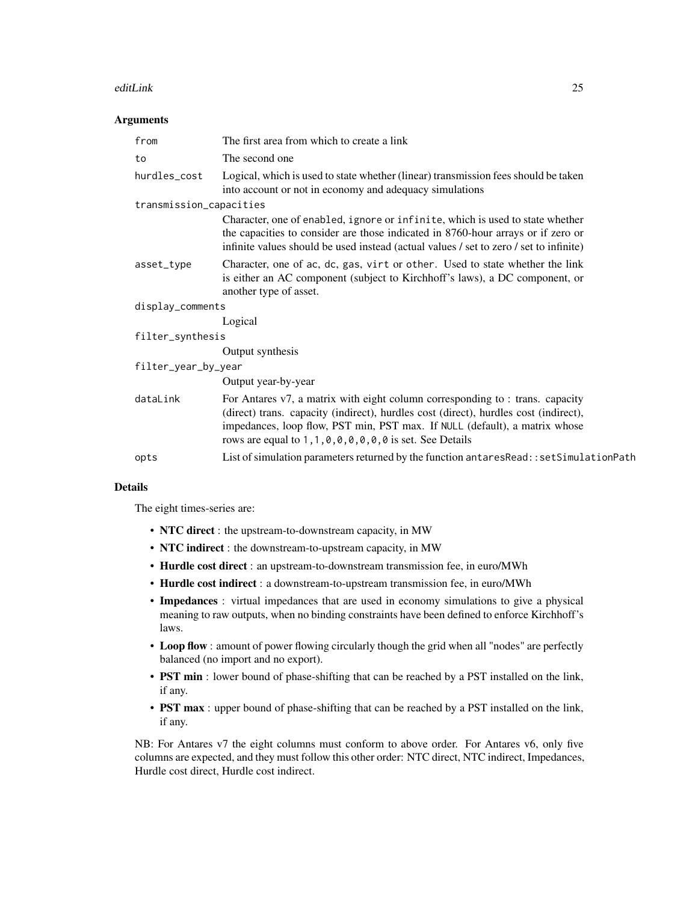#### editLink 25

#### **Arguments**

| from                    | The first area from which to create a link                                                                                                                                                                                                                                                                            |
|-------------------------|-----------------------------------------------------------------------------------------------------------------------------------------------------------------------------------------------------------------------------------------------------------------------------------------------------------------------|
| to                      | The second one                                                                                                                                                                                                                                                                                                        |
| hurdles_cost            | Logical, which is used to state whether (linear) transmission fees should be taken<br>into account or not in economy and adequacy simulations                                                                                                                                                                         |
| transmission_capacities |                                                                                                                                                                                                                                                                                                                       |
|                         | Character, one of enabled, ignore or infinite, which is used to state whether<br>the capacities to consider are those indicated in 8760-hour arrays or if zero or<br>infinite values should be used instead (actual values / set to zero / set to infinite)                                                           |
| asset_type              | Character, one of ac, dc, gas, virt or other. Used to state whether the link<br>is either an AC component (subject to Kirchhoff's laws), a DC component, or<br>another type of asset.                                                                                                                                 |
| display_comments        |                                                                                                                                                                                                                                                                                                                       |
|                         | Logical                                                                                                                                                                                                                                                                                                               |
| filter_synthesis        |                                                                                                                                                                                                                                                                                                                       |
|                         | Output synthesis                                                                                                                                                                                                                                                                                                      |
| filter_year_by_year     |                                                                                                                                                                                                                                                                                                                       |
|                         | Output year-by-year                                                                                                                                                                                                                                                                                                   |
| dataLink                | For Antares v7, a matrix with eight column corresponding to : trans. capacity<br>(direct) trans. capacity (indirect), hurdles cost (direct), hurdles cost (indirect),<br>impedances, loop flow, PST min, PST max. If NULL (default), a matrix whose<br>rows are equal to $1, 1, 0, 0, 0, 0, 0, 0$ is set. See Details |
| opts                    | List of simulation parameters returned by the function antares Read:: set Simulation Path                                                                                                                                                                                                                             |
|                         |                                                                                                                                                                                                                                                                                                                       |

#### Details

The eight times-series are:

- NTC direct : the upstream-to-downstream capacity, in MW
- NTC indirect : the downstream-to-upstream capacity, in MW
- Hurdle cost direct : an upstream-to-downstream transmission fee, in euro/MWh
- Hurdle cost indirect : a downstream-to-upstream transmission fee, in euro/MWh
- Impedances : virtual impedances that are used in economy simulations to give a physical meaning to raw outputs, when no binding constraints have been defined to enforce Kirchhoff's laws.
- Loop flow : amount of power flowing circularly though the grid when all "nodes" are perfectly balanced (no import and no export).
- PST min : lower bound of phase-shifting that can be reached by a PST installed on the link, if any.
- PST max : upper bound of phase-shifting that can be reached by a PST installed on the link, if any.

NB: For Antares v7 the eight columns must conform to above order. For Antares v6, only five columns are expected, and they must follow this other order: NTC direct, NTC indirect, Impedances, Hurdle cost direct, Hurdle cost indirect.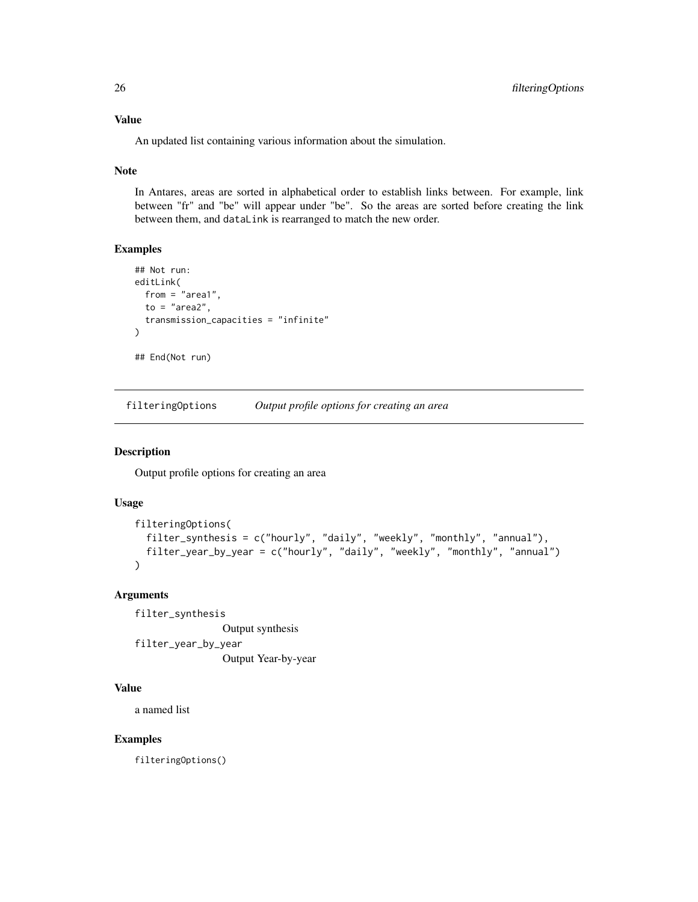<span id="page-25-0"></span>An updated list containing various information about the simulation.

#### Note

In Antares, areas are sorted in alphabetical order to establish links between. For example, link between "fr" and "be" will appear under "be". So the areas are sorted before creating the link between them, and dataLink is rearranged to match the new order.

#### Examples

```
## Not run:
editLink(
  from = "area1",
  to = "area?",
  transmission_capacities = "infinite"
)
## End(Not run)
```
<span id="page-25-1"></span>filteringOptions *Output profile options for creating an area*

## Description

Output profile options for creating an area

#### Usage

```
filteringOptions(
  filter_synthesis = c("hourly", "daily", "weekly", "monthly", "annual"),
  filter_year_by_year = c("hourly", "daily", "weekly", "monthly", "annual")
\lambda
```
#### Arguments

filter\_synthesis Output synthesis filter\_year\_by\_year Output Year-by-year

#### Value

a named list

## Examples

filteringOptions()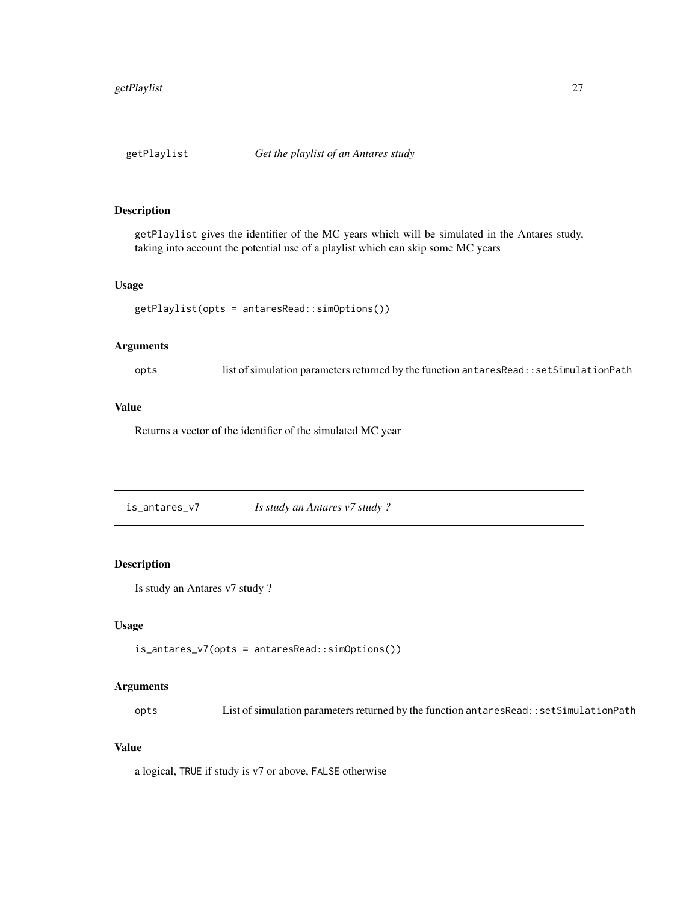<span id="page-26-0"></span>

#### Description

getPlaylist gives the identifier of the MC years which will be simulated in the Antares study, taking into account the potential use of a playlist which can skip some MC years

#### Usage

```
getPlaylist(opts = antaresRead::simOptions())
```
## Arguments

opts list of simulation parameters returned by the function antaresRead::setSimulationPath

# Value

Returns a vector of the identifier of the simulated MC year

is\_antares\_v7 *Is study an Antares v7 study ?*

#### Description

Is study an Antares v7 study ?

## Usage

```
is_antares_v7(opts = antaresRead::simOptions())
```
#### Arguments

opts List of simulation parameters returned by the function antaresRead::setSimulationPath

# Value

a logical, TRUE if study is v7 or above, FALSE otherwise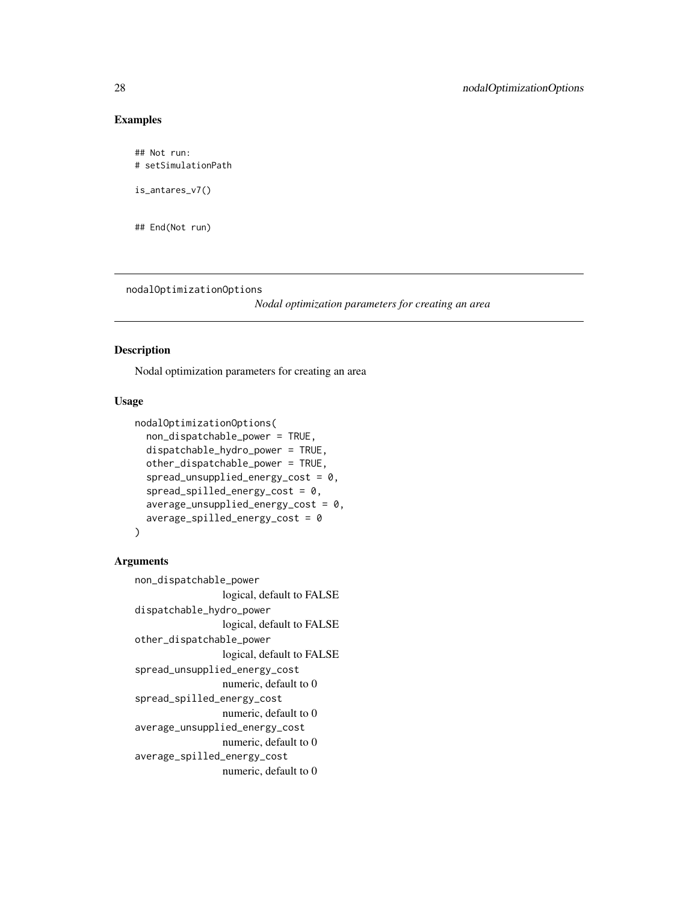## Examples

## Not run: # setSimulationPath

is\_antares\_v7()

## End(Not run)

<span id="page-27-1"></span>nodalOptimizationOptions

*Nodal optimization parameters for creating an area*

## Description

Nodal optimization parameters for creating an area

## Usage

```
nodalOptimizationOptions(
  non_dispatchable_power = TRUE,
  dispatchable_hydro_power = TRUE,
  other_dispatchable_power = TRUE,
  spread\_unsupplied\_energy\_cost = 0,
  spread\_spilled\_energy\_cost = 0,average\_unsupplied\_energy\_cost = 0,
  average_spilled_energy_cost = 0
)
```

```
non_dispatchable_power
                 logical, default to FALSE
dispatchable_hydro_power
                 logical, default to FALSE
other_dispatchable_power
                logical, default to FALSE
spread_unsupplied_energy_cost
                numeric, default to 0
spread_spilled_energy_cost
                numeric, default to 0
average_unsupplied_energy_cost
                numeric, default to 0
average_spilled_energy_cost
                numeric, default to 0
```
<span id="page-27-0"></span>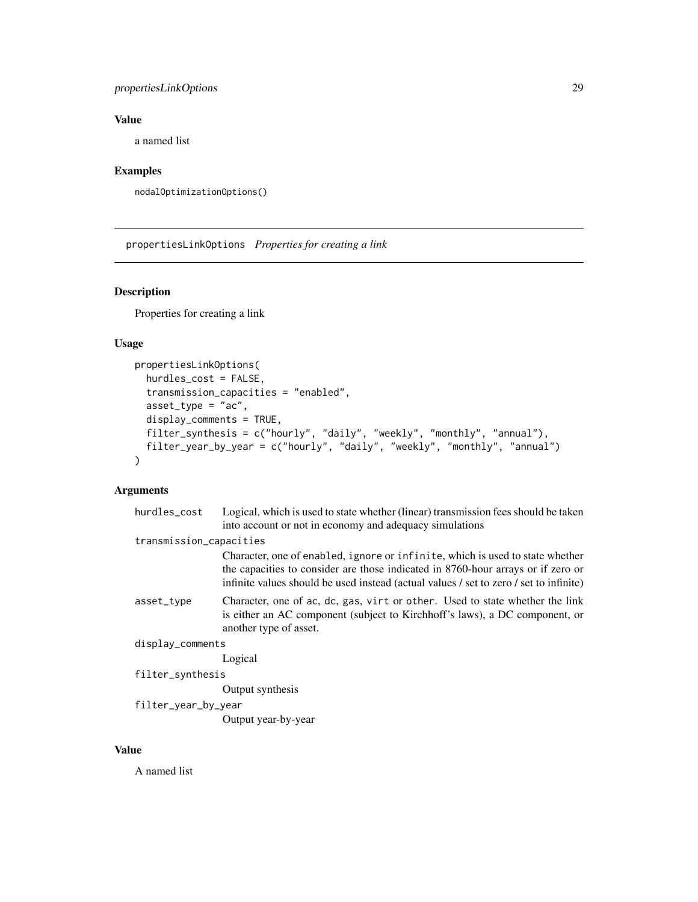## <span id="page-28-0"></span>propertiesLinkOptions 29

## Value

a named list

## Examples

```
nodalOptimizationOptions()
```
<span id="page-28-1"></span>propertiesLinkOptions *Properties for creating a link*

## Description

Properties for creating a link

## Usage

```
propertiesLinkOptions(
 hurdles_cost = FALSE,
  transmission_capacities = "enabled",
  asset_type = "ac",display_comments = TRUE,
 filter_synthesis = c("hourly", "daily", "weekly", "monthly", "annual"),
  filter_year_by_year = c("hourly", "daily", "weekly", "monthly", "annual")
\mathcal{L}
```
## Arguments

| hurdles_cost            | Logical, which is used to state whether (linear) transmission fees should be taken                                                                                                                                                                          |
|-------------------------|-------------------------------------------------------------------------------------------------------------------------------------------------------------------------------------------------------------------------------------------------------------|
|                         | into account or not in economy and adequacy simulations                                                                                                                                                                                                     |
| transmission_capacities |                                                                                                                                                                                                                                                             |
|                         | Character, one of enabled, ignore or infinite, which is used to state whether<br>the capacities to consider are those indicated in 8760-hour arrays or if zero or<br>infinite values should be used instead (actual values / set to zero / set to infinite) |
| asset_type              | Character, one of ac, dc, gas, virt or other. Used to state whether the link<br>is either an AC component (subject to Kirchhoff's laws), a DC component, or<br>another type of asset.                                                                       |
| display_comments        |                                                                                                                                                                                                                                                             |
|                         | Logical                                                                                                                                                                                                                                                     |
| filter_synthesis        |                                                                                                                                                                                                                                                             |
|                         | Output synthesis                                                                                                                                                                                                                                            |
| filter_year_by_year     |                                                                                                                                                                                                                                                             |
|                         | Output year-by-year                                                                                                                                                                                                                                         |
|                         |                                                                                                                                                                                                                                                             |

#### Value

A named list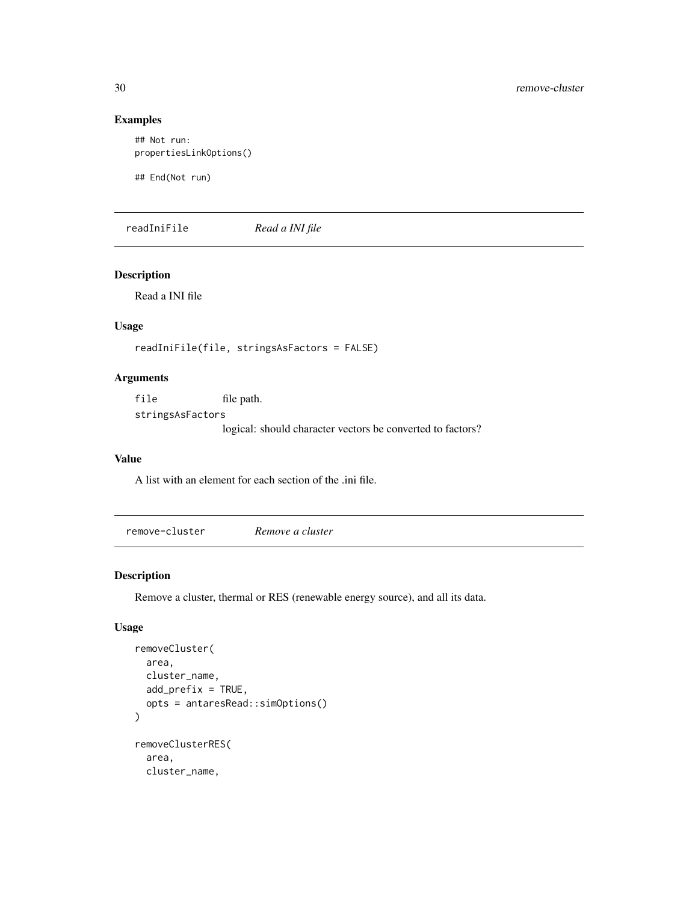# Examples

```
## Not run:
propertiesLinkOptions()
```
## End(Not run)

readIniFile *Read a INI file*

#### Description

Read a INI file

# Usage

```
readIniFile(file, stringsAsFactors = FALSE)
```
## Arguments

file file path. stringsAsFactors logical: should character vectors be converted to factors?

#### Value

A list with an element for each section of the .ini file.

remove-cluster *Remove a cluster*

#### <span id="page-29-1"></span>Description

Remove a cluster, thermal or RES (renewable energy source), and all its data.

## Usage

```
removeCluster(
  area,
  cluster_name,
  add_prefix = TRUE,
  opts = antaresRead::simOptions()
\mathcal{L}removeClusterRES(
  area,
  cluster_name,
```
<span id="page-29-0"></span>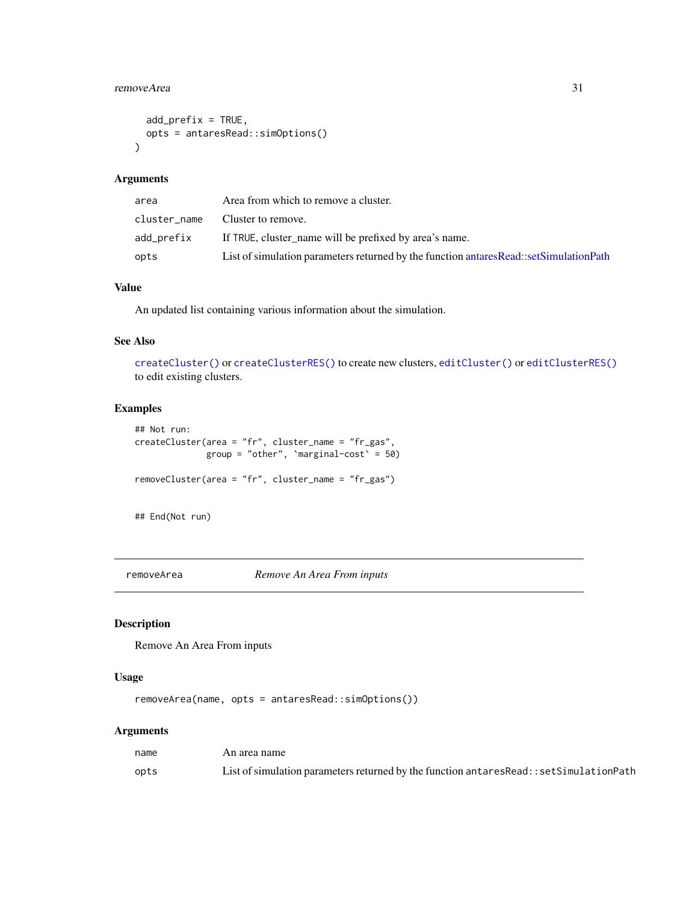## <span id="page-30-0"></span>removeArea 31

```
add_prefix = TRUE,
 opts = antaresRead::simOptions()
\lambda
```
#### Arguments

| area         | Area from which to remove a cluster.                                                     |
|--------------|------------------------------------------------------------------------------------------|
| cluster_name | Cluster to remove.                                                                       |
| add_prefix   | If TRUE, cluster_name will be prefixed by area's name.                                   |
| opts         | List of simulation parameters returned by the function antares Read::set Simulation Path |

# Value

An updated list containing various information about the simulation.

#### See Also

[createCluster\(\)](#page-5-1) or [createClusterRES\(\)](#page-5-1) to create new clusters, [editCluster\(\)](#page-19-1) or [editClusterRES\(\)](#page-19-1) to edit existing clusters.

#### Examples

```
## Not run:
createCluster(area = "fr", cluster_name = "fr_gas",
              group = "other", `marginal-cost` = 50)
removeCluster(area = "fr", cluster_name = "fr_gas")
```
## End(Not run)

removeArea *Remove An Area From inputs*

## Description

Remove An Area From inputs

#### Usage

removeArea(name, opts = antaresRead::simOptions())

| name | An area name                                                                               |
|------|--------------------------------------------------------------------------------------------|
| opts | List of simulation parameters returned by the function antares Read: : set Simulation Path |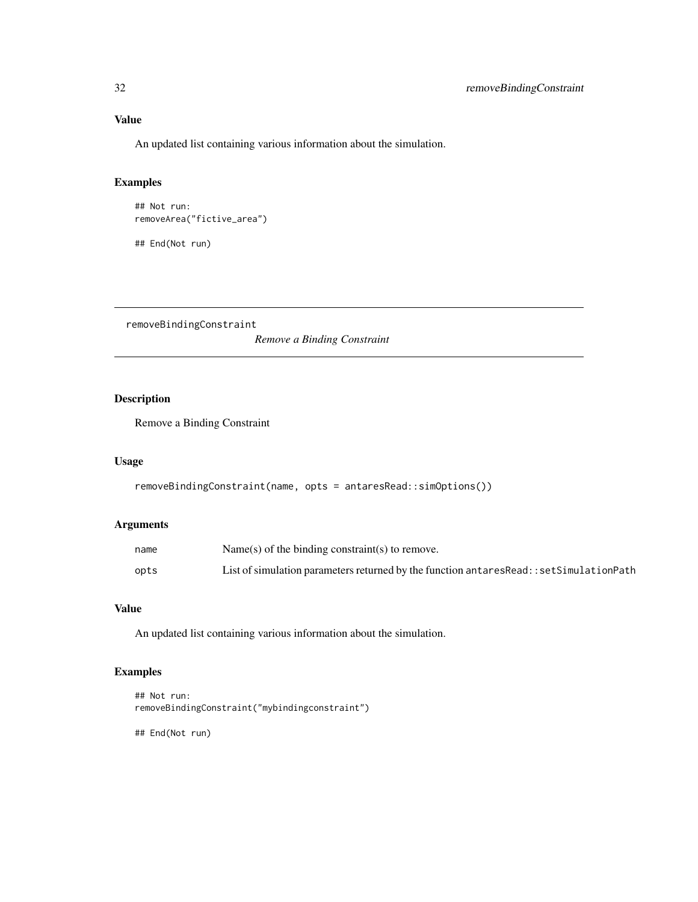## <span id="page-31-0"></span>Value

An updated list containing various information about the simulation.

# Examples

```
## Not run:
removeArea("fictive_area")
## End(Not run)
```
removeBindingConstraint

*Remove a Binding Constraint*

# Description

Remove a Binding Constraint

#### Usage

```
removeBindingConstraint(name, opts = antaresRead::simOptions())
```
### Arguments

| name | Name(s) of the binding constraint(s) to remove.                                           |
|------|-------------------------------------------------------------------------------------------|
| opts | List of simulation parameters returned by the function antares Read:: set Simulation Path |

# Value

An updated list containing various information about the simulation.

# Examples

```
## Not run:
removeBindingConstraint("mybindingconstraint")
```
## End(Not run)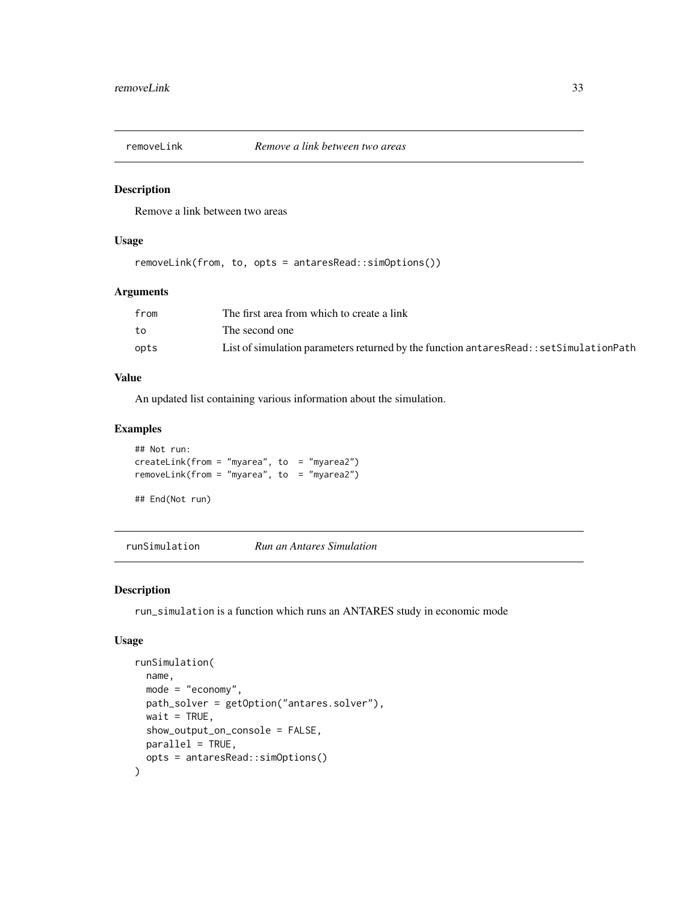<span id="page-32-0"></span>

#### Description

Remove a link between two areas

#### Usage

removeLink(from, to, opts = antaresRead::simOptions())

#### Arguments

| from | The first area from which to create a link                                                |
|------|-------------------------------------------------------------------------------------------|
| to   | The second one                                                                            |
| opts | List of simulation parameters returned by the function antares Read:: set Simulation Path |

#### Value

An updated list containing various information about the simulation.

#### Examples

```
## Not run:
createLink(from = "myarea", to = "myarea2")
removeLink(from = "myarea", to = "myarea2")
```
## End(Not run)

runSimulation *Run an Antares Simulation*

#### Description

run\_simulation is a function which runs an ANTARES study in economic mode

#### Usage

```
runSimulation(
 name,
 mode = "economy",
 path_solver = getOption("antares.solver"),
 wait = TRUE,
  show_output_on_console = FALSE,
 parallel = TRUE,
  opts = antaresRead::simOptions()
\mathcal{E}
```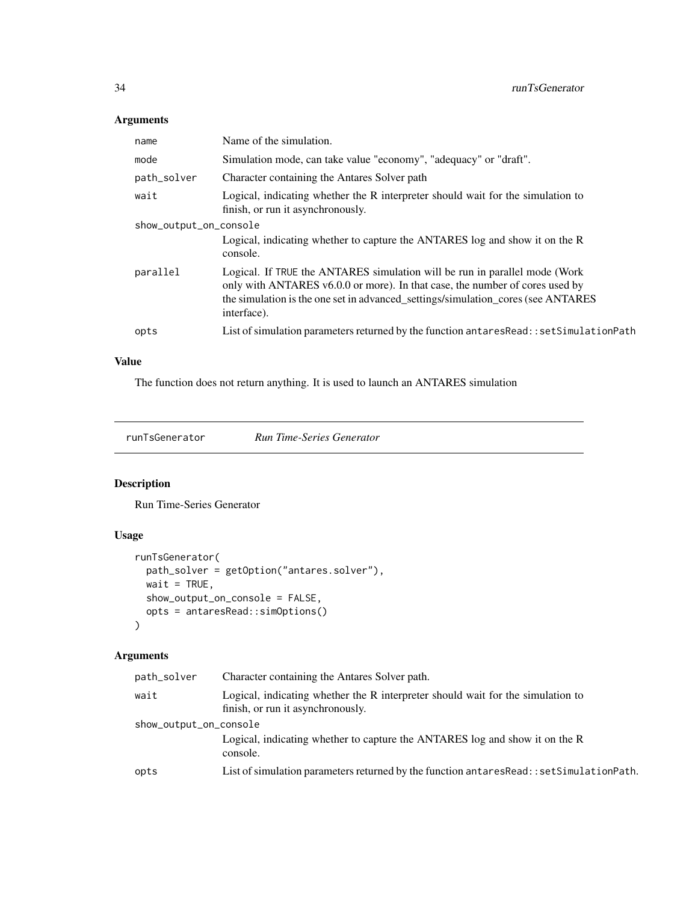# <span id="page-33-0"></span>Arguments

| name                   | Name of the simulation.                                                                                                                                                                                                                                       |
|------------------------|---------------------------------------------------------------------------------------------------------------------------------------------------------------------------------------------------------------------------------------------------------------|
| mode                   | Simulation mode, can take value "economy", "adequacy" or "draft".                                                                                                                                                                                             |
| path_solver            | Character containing the Antares Solver path                                                                                                                                                                                                                  |
| wait                   | Logical, indicating whether the R interpreter should wait for the simulation to<br>finish, or run it asynchronously.                                                                                                                                          |
| show_output_on_console |                                                                                                                                                                                                                                                               |
|                        | Logical, indicating whether to capture the ANTARES log and show it on the R<br>console.                                                                                                                                                                       |
| parallel               | Logical. If TRUE the ANTARES simulation will be run in parallel mode (Work<br>only with ANTARES v6.0.0 or more). In that case, the number of cores used by<br>the simulation is the one set in advanced_settings/simulation_cores (see ANTARES<br>interface). |
| opts                   | List of simulation parameters returned by the function antares Read:: set Simulation Path                                                                                                                                                                     |

## Value

The function does not return anything. It is used to launch an ANTARES simulation

runTsGenerator *Run Time-Series Generator*

# Description

Run Time-Series Generator

## Usage

```
runTsGenerator(
 path_solver = getOption("antares.solver"),
 wait = TRUE,
 show_output_on_console = FALSE,
 opts = antaresRead::simOptions()
\mathcal{L}
```

| path_solver            | Character containing the Antares Solver path.                                                                        |
|------------------------|----------------------------------------------------------------------------------------------------------------------|
| wait                   | Logical, indicating whether the R interpreter should wait for the simulation to<br>finish, or run it asynchronously. |
| show_output_on_console |                                                                                                                      |
|                        | Logical, indicating whether to capture the ANTARES log and show it on the R<br>console.                              |
| opts                   | List of simulation parameters returned by the function antares Read: : set Simulation Path.                          |
|                        |                                                                                                                      |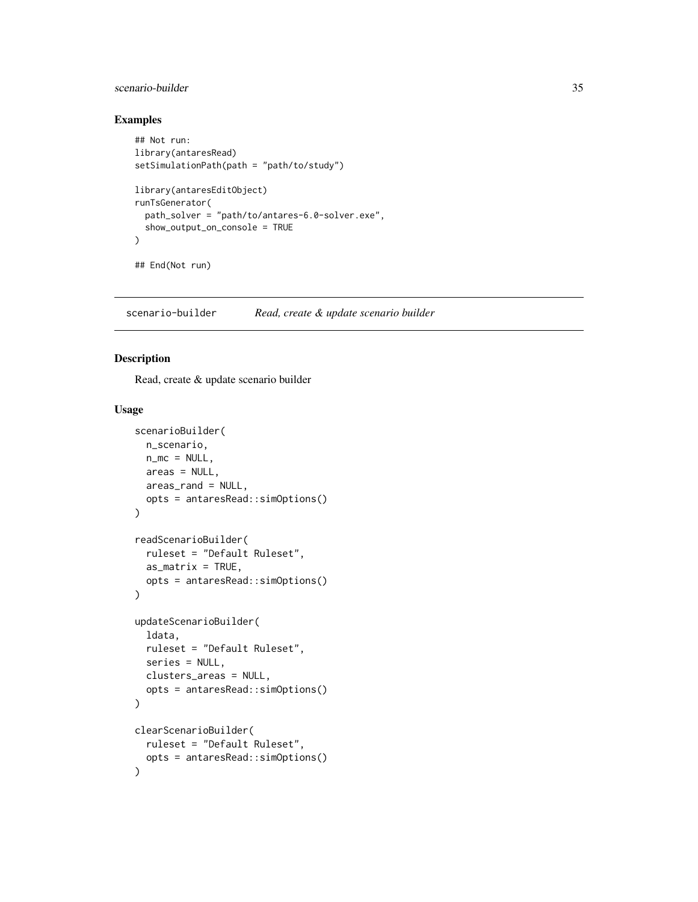# <span id="page-34-0"></span>scenario-builder 35

## Examples

```
## Not run:
library(antaresRead)
setSimulationPath(path = "path/to/study")
library(antaresEditObject)
runTsGenerator(
  path_solver = "path/to/antares-6.0-solver.exe",
  show_output_on_console = TRUE
)
## End(Not run)
```
scenario-builder *Read, create & update scenario builder*

## Description

Read, create & update scenario builder

#### Usage

```
scenarioBuilder(
 n_scenario,
 n_m = NULL,area = NULL,areas_rand = NULL,
  opts = antaresRead::simOptions()
)
readScenarioBuilder(
  ruleset = "Default Ruleset",
  as_matrix = TRUE,opts = antaresRead::simOptions()
\mathcal{L}updateScenarioBuilder(
  ldata,
  ruleset = "Default Ruleset",
  series = NULL,
  clusters_areas = NULL,
  opts = antaresRead::simOptions()
\lambdaclearScenarioBuilder(
  ruleset = "Default Ruleset",
  opts = antaresRead::simOptions()
\mathcal{L}
```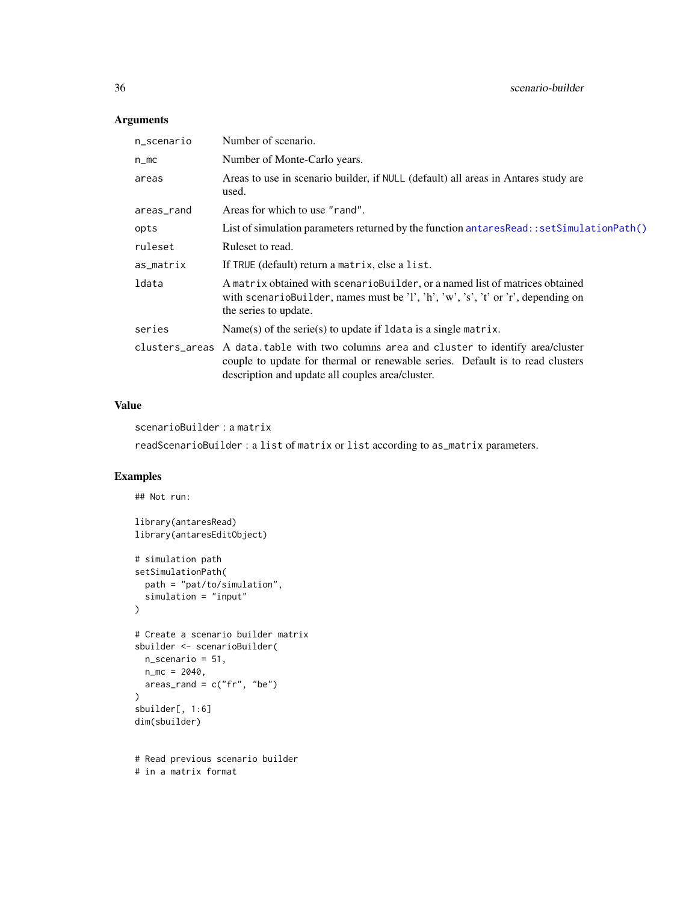# Arguments

| n_scenario | Number of scenario.                                                                                                                                                                                                         |
|------------|-----------------------------------------------------------------------------------------------------------------------------------------------------------------------------------------------------------------------------|
| $n$ _mc    | Number of Monte-Carlo years.                                                                                                                                                                                                |
| areas      | Areas to use in scenario builder, if NULL (default) all areas in Antares study are<br>used.                                                                                                                                 |
| areas_rand | Areas for which to use "rand".                                                                                                                                                                                              |
| opts       | List of simulation parameters returned by the function antares Read: : set Simulation Path()                                                                                                                                |
| ruleset    | Ruleset to read.                                                                                                                                                                                                            |
| as_matrix  | If TRUE (default) return a matrix, else a list.                                                                                                                                                                             |
| ldata      | A matrix obtained with scenario Builder, or a named list of matrices obtained<br>with scenarioBuilder, names must be 'l', 'h', 'w', 's', 't' or 'r', depending on<br>the series to update.                                  |
| series     | $Name(s)$ of the serie(s) to update if 1 data is a single matrix.                                                                                                                                                           |
|            | clusters_areas A data.table with two columns area and cluster to identify area/cluster<br>couple to update for thermal or renewable series. Default is to read clusters<br>description and update all couples area/cluster. |

## Value

scenarioBuilder : a matrix

readScenarioBuilder : a list of matrix or list according to as\_matrix parameters.

# Examples

```
## Not run:
library(antaresRead)
library(antaresEditObject)
# simulation path
setSimulationPath(
  path = "pat/to/simulation",
 simulation = "input"
)
# Create a scenario builder matrix
sbuilder <- scenarioBuilder(
 n_scenario = 51,
 n_{\text{m}} = 2040,area_{rand} = c("fr", "be")\mathcal{L}sbuilder[, 1:6]
dim(sbuilder)
# Read previous scenario builder
```
# in a matrix format

<span id="page-35-0"></span>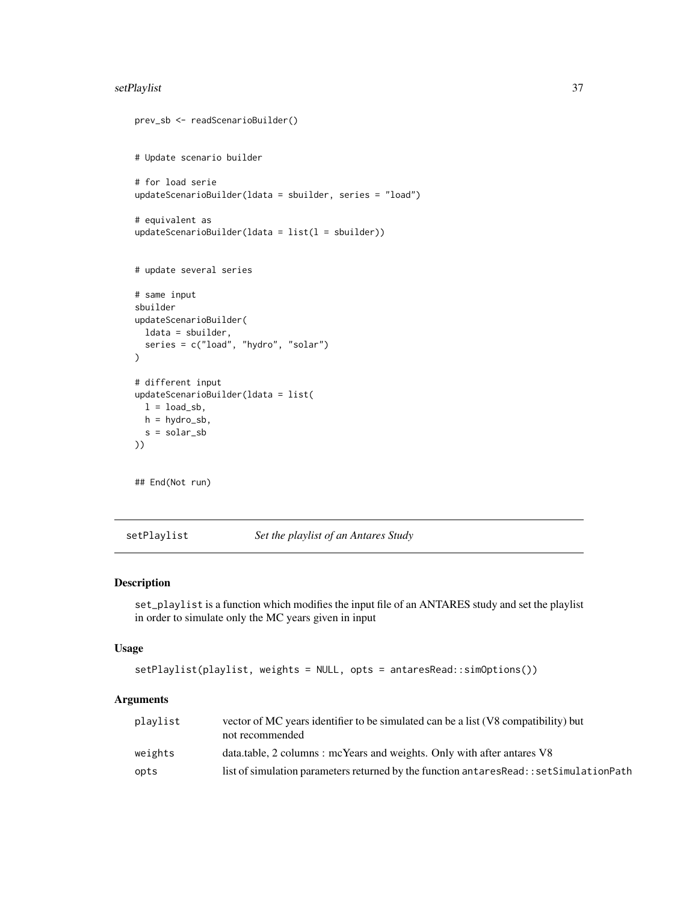## <span id="page-36-0"></span>setPlaylist 37

```
prev_sb <- readScenarioBuilder()
# Update scenario builder
# for load serie
updateScenarioBuilder(ldata = sbuilder, series = "load")
# equivalent as
updateScenarioBuilder(ldata = list(1 = shoulder))# update several series
# same input
sbuilder
updateScenarioBuilder(
  ldata = sbuilder,
  series = c("load", "hydro", "solar")
\mathcal{L}# different input
updateScenarioBuilder(ldata = list(
 l = load_sb,
 h = hydro_sb,
  s = solar_sb
))
## End(Not run)
```
setPlaylist *Set the playlist of an Antares Study*

## Description

set\_playlist is a function which modifies the input file of an ANTARES study and set the playlist in order to simulate only the MC years given in input

#### Usage

```
setPlaylist(playlist, weights = NULL, opts = antaresRead::simOptions())
```

| plavlist | vector of MC years identifier to be simulated can be a list (V8 compatibility) but<br>not recommended |
|----------|-------------------------------------------------------------------------------------------------------|
| weights  | data.table, 2 columns : mcYears and weights. Only with after antares V8                               |
| opts     | list of simulation parameters returned by the function antares Read: : set Simulation Path            |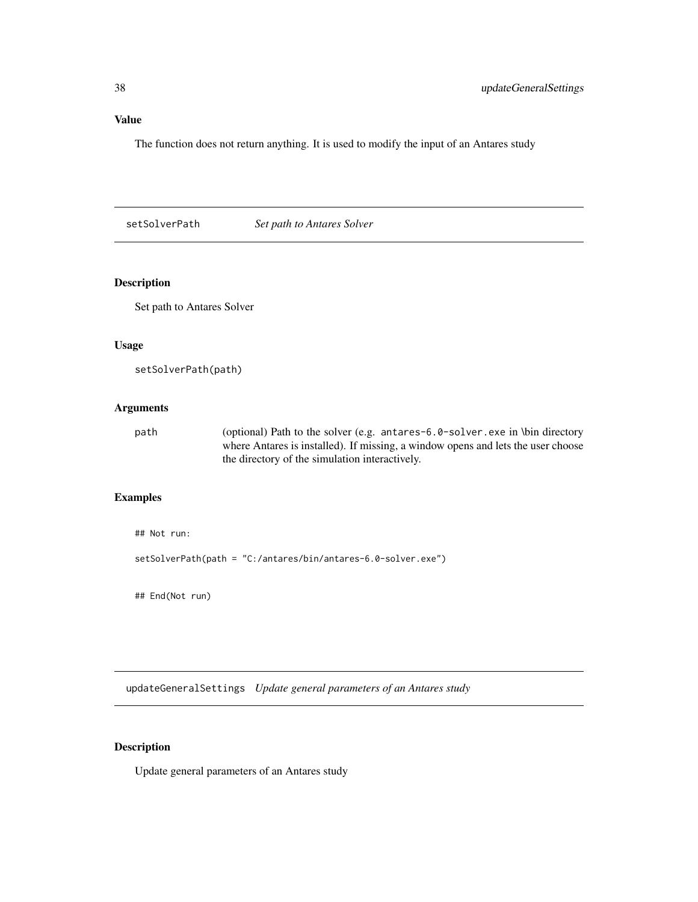<span id="page-37-0"></span>Value

The function does not return anything. It is used to modify the input of an Antares study

setSolverPath *Set path to Antares Solver*

#### Description

Set path to Antares Solver

#### Usage

```
setSolverPath(path)
```
## Arguments

path (optional) Path to the solver (e.g. antares-6.0-solver.exe in \bin directory where Antares is installed). If missing, a window opens and lets the user choose the directory of the simulation interactively.

# Examples

```
## Not run:
```
setSolverPath(path = "C:/antares/bin/antares-6.0-solver.exe")

## End(Not run)

updateGeneralSettings *Update general parameters of an Antares study*

#### Description

Update general parameters of an Antares study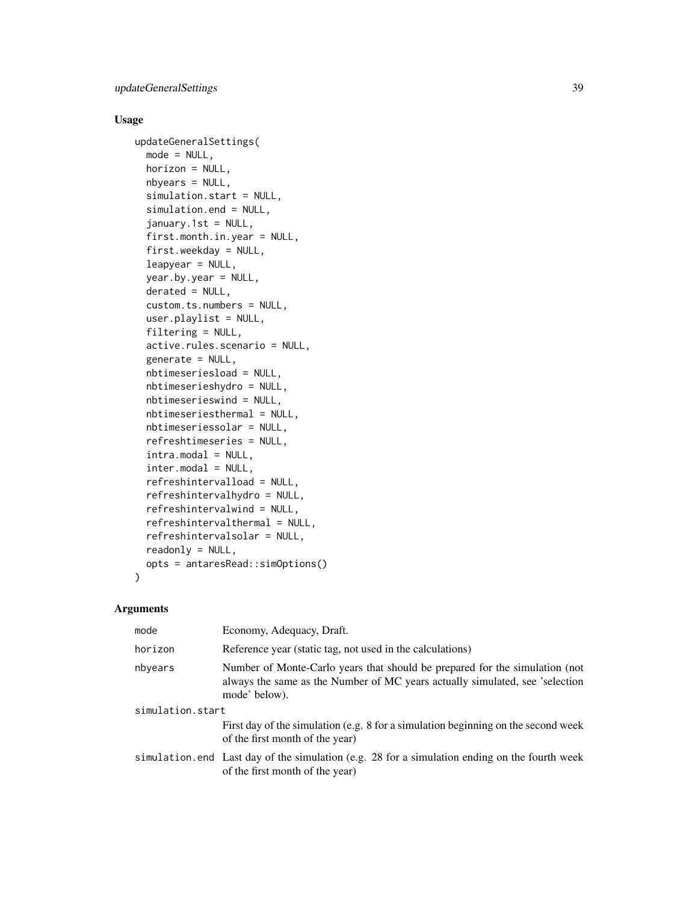## Usage

```
updateGeneralSettings(
  mode = NULL,
  horizon = NULL,
  nbyears = NULL,
  simulation.start = NULL,
  simulation.end = NULL,
  january.1st = NULL,
  first.month.in.year = NULL,
  first.weekday = NULL,
  leapyear = NULL,
  year.by.year = NULL,
  derated = NULL,
  custom.ts.numbers = NULL,
  user.playlist = NULL,
  filtering = NULL,
  active.rules.scenario = NULL,
  generate = NULL,
  nbtimeseriesload = NULL,
  nbtimeserieshydro = NULL,
  nbtimeserieswind = NULL,
  nbtimeseriesthermal = NULL,
  nbtimeseriessolar = NULL,
  refreshtimeseries = NULL,
  intra.modal = NULL,inter.modal = NULL,
  refreshintervalload = NULL,
  refreshintervalhydro = NULL,
  refreshintervalwind = NULL,
  refreshintervalthermal = NULL,
  refreshintervalsolar = NULL,
  readonly = NULL,
  opts = antaresRead::simOptions()
\lambda
```

| mode             | Economy, Adequacy, Draft.                                                                                                                                                    |  |
|------------------|------------------------------------------------------------------------------------------------------------------------------------------------------------------------------|--|
| horizon          | Reference year (static tag, not used in the calculations)                                                                                                                    |  |
| nbyears          | Number of Monte-Carlo years that should be prepared for the simulation (not<br>always the same as the Number of MC years actually simulated, see 'selection<br>mode' below). |  |
| simulation.start |                                                                                                                                                                              |  |
|                  | First day of the simulation (e.g. 8 for a simulation beginning on the second week<br>of the first month of the year)                                                         |  |
|                  | simulation end Last day of the simulation (e.g. 28 for a simulation ending on the fourth week<br>of the first month of the year)                                             |  |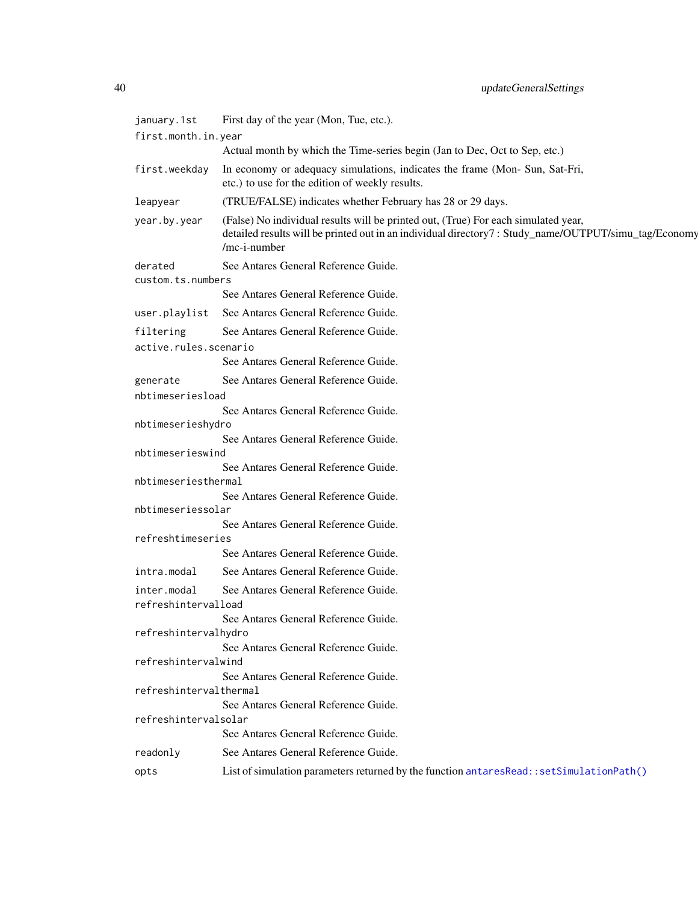<span id="page-39-0"></span>

| january.1st                        | First day of the year (Mon, Tue, etc.).                                                                                                                                                                    |
|------------------------------------|------------------------------------------------------------------------------------------------------------------------------------------------------------------------------------------------------------|
| first.month.in.year                |                                                                                                                                                                                                            |
|                                    | Actual month by which the Time-series begin (Jan to Dec, Oct to Sep, etc.)                                                                                                                                 |
| first.weekday                      | In economy or adequacy simulations, indicates the frame (Mon- Sun, Sat-Fri,<br>etc.) to use for the edition of weekly results.                                                                             |
| leapyear                           | (TRUE/FALSE) indicates whether February has 28 or 29 days.                                                                                                                                                 |
| year.by.year                       | (False) No individual results will be printed out, (True) For each simulated year,<br>detailed results will be printed out in an individual directory7: Study_name/OUTPUT/simu_tag/Economy<br>/mc-i-number |
| derated<br>custom.ts.numbers       | See Antares General Reference Guide.                                                                                                                                                                       |
|                                    | See Antares General Reference Guide.                                                                                                                                                                       |
| user.playlist                      | See Antares General Reference Guide.                                                                                                                                                                       |
| filtering                          | See Antares General Reference Guide.                                                                                                                                                                       |
| active.rules.scenario              |                                                                                                                                                                                                            |
|                                    | See Antares General Reference Guide.                                                                                                                                                                       |
| generate                           | See Antares General Reference Guide.                                                                                                                                                                       |
| nbtimeseriesload                   |                                                                                                                                                                                                            |
| nbtimeserieshydro                  | See Antares General Reference Guide.                                                                                                                                                                       |
|                                    | See Antares General Reference Guide.                                                                                                                                                                       |
| nbtimeserieswind                   |                                                                                                                                                                                                            |
|                                    | See Antares General Reference Guide.                                                                                                                                                                       |
| nbtimeseriesthermal                |                                                                                                                                                                                                            |
| nbtimeseriessolar                  | See Antares General Reference Guide.                                                                                                                                                                       |
|                                    | See Antares General Reference Guide.                                                                                                                                                                       |
| refreshtimeseries                  |                                                                                                                                                                                                            |
|                                    | See Antares General Reference Guide.                                                                                                                                                                       |
| intra.modal                        | See Antares General Reference Guide.                                                                                                                                                                       |
| inter.modal<br>refreshintervalload | See Antares General Reference Guide.                                                                                                                                                                       |
| refreshintervalhydro               | See Antares General Reference Guide.                                                                                                                                                                       |
| refreshintervalwind                | See Antares General Reference Guide.<br>See Antares General Reference Guide.                                                                                                                               |
| refreshintervalthermal             |                                                                                                                                                                                                            |
| refreshintervalsolar               | See Antares General Reference Guide.                                                                                                                                                                       |
|                                    | See Antares General Reference Guide.                                                                                                                                                                       |
| readonly                           | See Antares General Reference Guide.                                                                                                                                                                       |
| opts                               | List of simulation parameters returned by the function antaresRead::setSimulationPath()                                                                                                                    |
|                                    |                                                                                                                                                                                                            |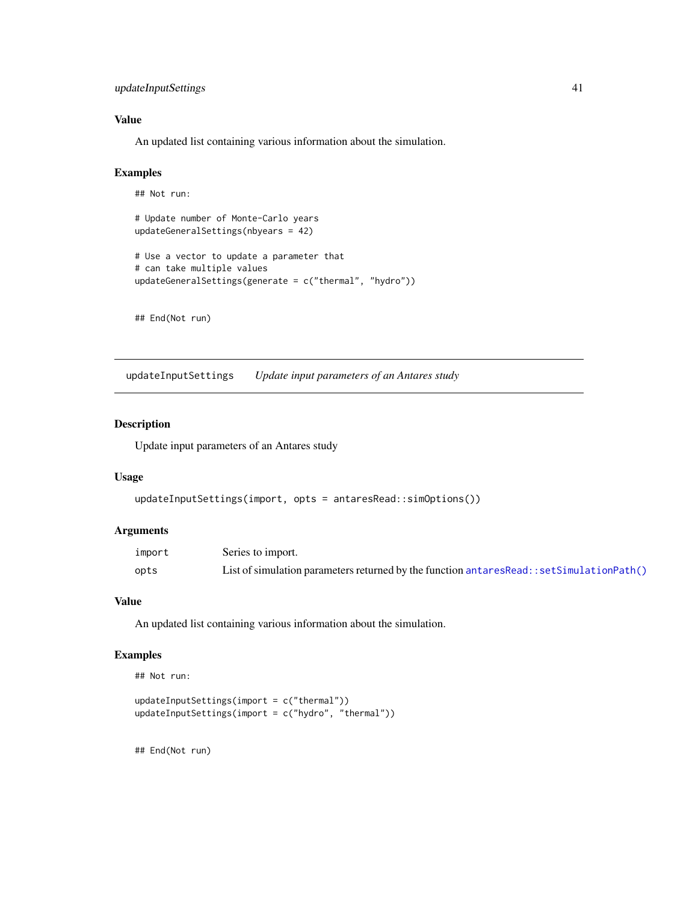## <span id="page-40-0"></span>updateInputSettings 41

## Value

An updated list containing various information about the simulation.

#### Examples

```
## Not run:
# Update number of Monte-Carlo years
updateGeneralSettings(nbyears = 42)
# Use a vector to update a parameter that
# can take multiple values
updateGeneralSettings(generate = c("thermal", "hydro"))
```
## End(Not run)

updateInputSettings *Update input parameters of an Antares study*

#### Description

Update input parameters of an Antares study

#### Usage

```
updateInputSettings(import, opts = antaresRead::simOptions())
```
#### Arguments

| import | Series to import.                                                                            |
|--------|----------------------------------------------------------------------------------------------|
| opts   | List of simulation parameters returned by the function antares Read: : set Simulation Path() |

#### Value

An updated list containing various information about the simulation.

#### Examples

```
## Not run:
```

```
updateInputSettings(import = c("thermal"))
updateInputSettings(import = c("hydro", "thermal"))
```
## End(Not run)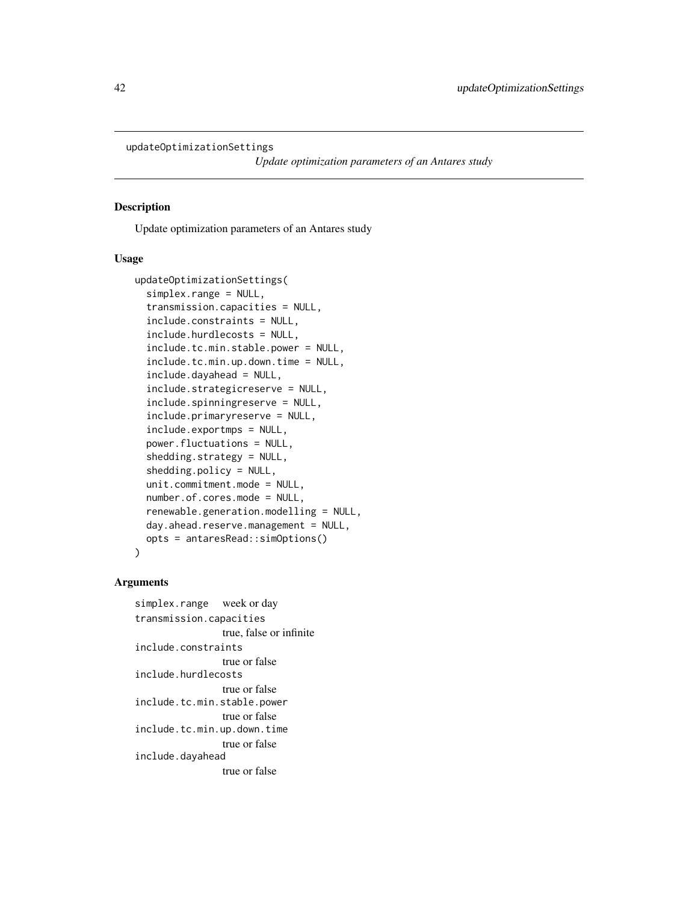<span id="page-41-0"></span>updateOptimizationSettings

*Update optimization parameters of an Antares study*

## Description

Update optimization parameters of an Antares study

#### Usage

```
updateOptimizationSettings(
  simplex.range = NULL,
  transmission.capacities = NULL,
  include.constraints = NULL,
  include.hurdlecosts = NULL,
  include.tc.min.stable.power = NULL,
  include.tc.min.up.down.time = NULL,
  include.dayahead = NULL,
  include.strategicreserve = NULL,
  include.spinningreserve = NULL,
  include.primaryreserve = NULL,
  include.exportmps = NULL,
  power.fluctuations = NULL,
  shedding.strategy = NULL,
  shedding.policy = NULL,
  unit.commitment.mode = NULL,
  number.of.cores.mode = NULL,
  renewable.generation.modelling = NULL,
  day.ahead.reserve.management = NULL,
  opts = antaresRead::simOptions()
)
```
## Arguments

simplex.range week or day transmission.capacities true, false or infinite include.constraints true or false include.hurdlecosts true or false include.tc.min.stable.power true or false include.tc.min.up.down.time true or false include.dayahead true or false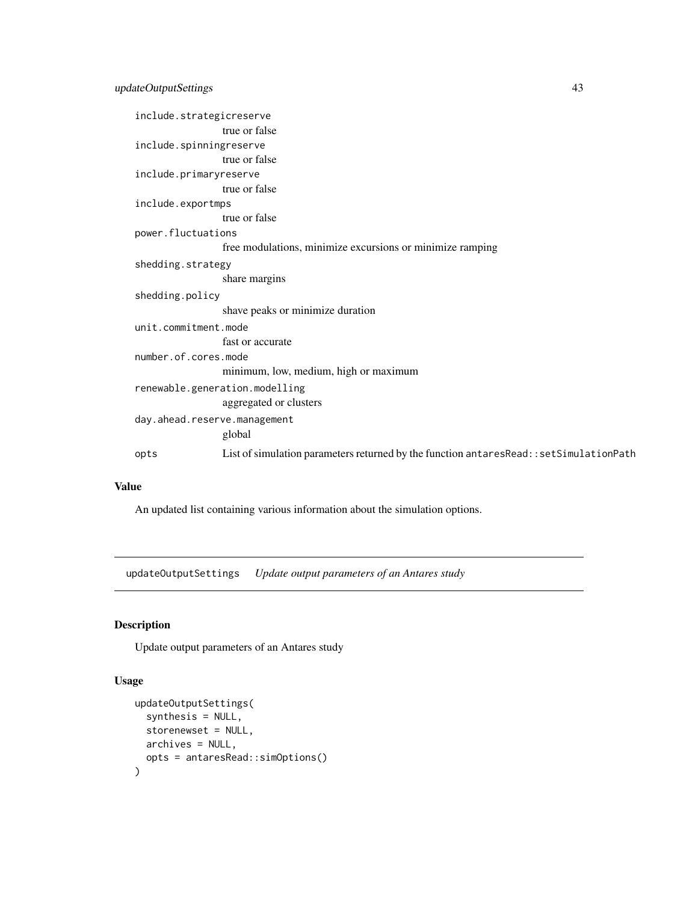<span id="page-42-0"></span>

| include.strategicreserve     |                                                                                           |
|------------------------------|-------------------------------------------------------------------------------------------|
|                              | true or false                                                                             |
| include.spinningreserve      |                                                                                           |
|                              | true or false                                                                             |
| include.primaryreserve       |                                                                                           |
|                              | true or false                                                                             |
| include.exportmps            |                                                                                           |
|                              | true or false                                                                             |
| power.fluctuations           |                                                                                           |
|                              | free modulations, minimize excursions or minimize ramping                                 |
| shedding.strategy            |                                                                                           |
|                              | share margins                                                                             |
| shedding.policy              |                                                                                           |
|                              | shave peaks or minimize duration                                                          |
| unit.commitment.mode         |                                                                                           |
|                              | fast or accurate                                                                          |
| number.of.cores.mode         |                                                                                           |
|                              | minimum, low, medium, high or maximum                                                     |
|                              | renewable.generation.modelling                                                            |
|                              | aggregated or clusters                                                                    |
| day.ahead.reserve.management |                                                                                           |
|                              | global                                                                                    |
| opts                         | List of simulation parameters returned by the function antares Read:: set Simulation Path |

#### Value

An updated list containing various information about the simulation options.

updateOutputSettings *Update output parameters of an Antares study*

## Description

Update output parameters of an Antares study

# Usage

```
updateOutputSettings(
  synthesis = NULL,
  storenewset = NULL,
  archives = NULL,
  opts = antaresRead::simOptions()
\mathcal{L}
```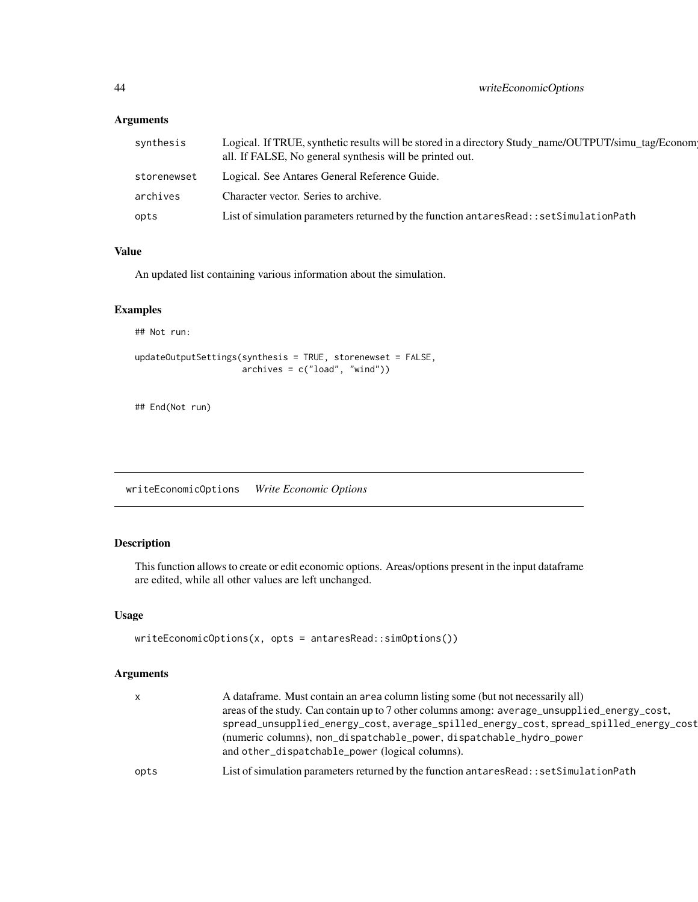# Arguments

| synthesis   | Logical. If TRUE, synthetic results will be stored in a directory Study_name/OUTPUT/simu_tag/Econom<br>all. If FALSE, No general synthesis will be printed out. |
|-------------|-----------------------------------------------------------------------------------------------------------------------------------------------------------------|
| storenewset | Logical. See Antares General Reference Guide.                                                                                                                   |
| archives    | Character vector. Series to archive.                                                                                                                            |
| opts        | List of simulation parameters returned by the function antares Read:: set Simulation Path                                                                       |

# Value

An updated list containing various information about the simulation.

## Examples

## Not run:

```
updateOutputSettings(synthesis = TRUE, storenewset = FALSE,
                     archives = c("load", "wind"))
```
## End(Not run)

writeEconomicOptions *Write Economic Options*

# Description

This function allows to create or edit economic options. Areas/options present in the input dataframe are edited, while all other values are left unchanged.

#### Usage

```
writeEconomicOptions(x, opts = antaresRead::simOptions())
```

| $\mathsf{x}$ | A dataframe. Must contain an area column listing some (but not necessarily all)<br>areas of the study. Can contain up to 7 other columns among: average_unsupplied_energy_cost,<br>spread_unsupplied_energy_cost,average_spilled_energy_cost,spread_spilled_energy_cost<br>(numeric columns), non_dispatchable_power, dispatchable_hydro_power<br>and other_dispatchable_power (logical columns). |
|--------------|---------------------------------------------------------------------------------------------------------------------------------------------------------------------------------------------------------------------------------------------------------------------------------------------------------------------------------------------------------------------------------------------------|
| opts         | List of simulation parameters returned by the function antares Read:: set Simulation Path                                                                                                                                                                                                                                                                                                         |

<span id="page-43-0"></span>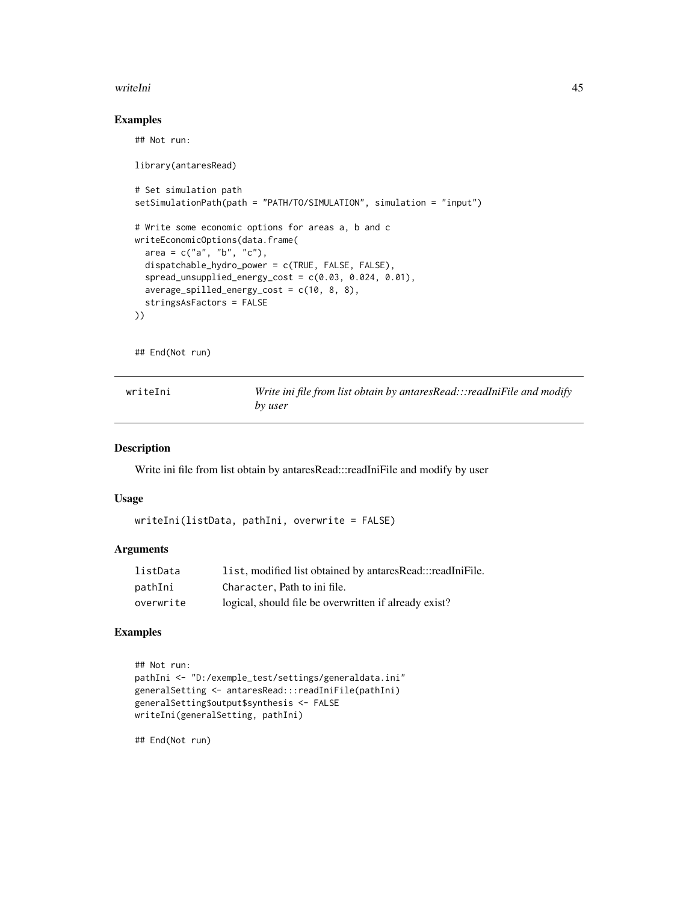#### <span id="page-44-0"></span>writeIni and the contract of the contract of the contract of the contract of the contract of the contract of the contract of the contract of the contract of the contract of the contract of the contract of the contract of t

## Examples

## Not run:

```
library(antaresRead)
# Set simulation path
setSimulationPath(path = "PATH/TO/SIMULATION", simulation = "input")
# Write some economic options for areas a, b and c
writeEconomicOptions(data.frame(
  area = c("a", "b", "c"),dispatchable_hydro_power = c(TRUE, FALSE, FALSE),
  spread_unsupplied_energy_cost = c(0.03, 0.024, 0.01),
  average\_spilled\_energy\_cost = c(10, 8, 8),stringsAsFactors = FALSE
))
```
## End(Not run)

| writeIni |  |  |  |  |  |  |  |
|----------|--|--|--|--|--|--|--|
|----------|--|--|--|--|--|--|--|

Write ini file from list obtain by antaresRead:::readIniFile and modify *by user*

#### Description

Write ini file from list obtain by antaresRead:::readIniFile and modify by user

#### Usage

```
writeIni(listData, pathIni, overwrite = FALSE)
```
#### Arguments

| listData  | list, modified list obtained by antaresRead:::readIniFile. |
|-----------|------------------------------------------------------------|
| pathIni   | Character, Path to ini file.                               |
| overwrite | logical, should file be overwritten if already exist?      |

#### Examples

```
## Not run:
pathIni <- "D:/exemple_test/settings/generaldata.ini"
generalSetting <- antaresRead:::readIniFile(pathIni)
generalSetting$output$synthesis <- FALSE
writeIni(generalSetting, pathIni)
```
## End(Not run)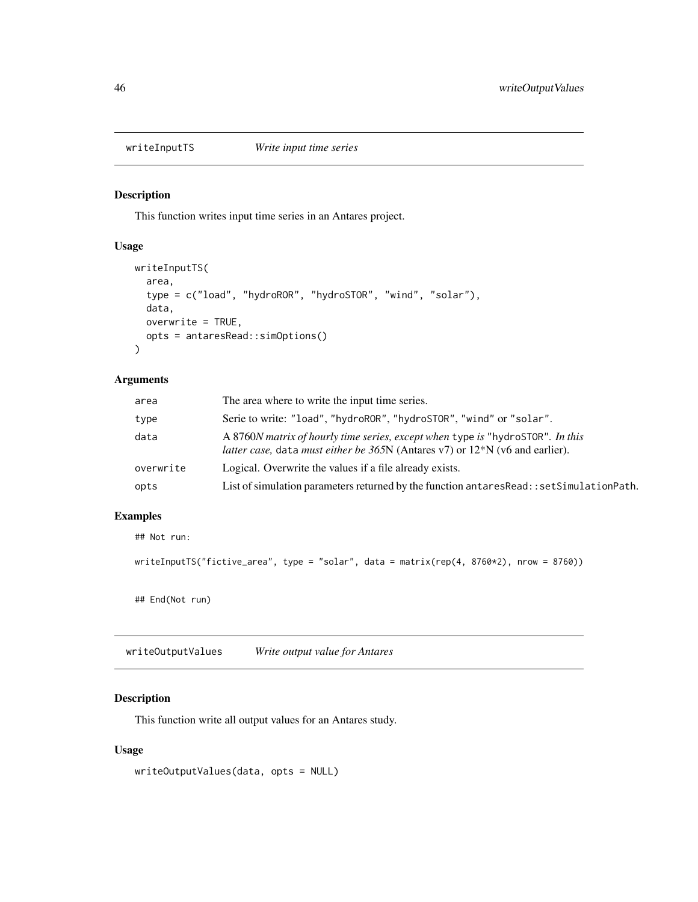<span id="page-45-0"></span>

## Description

This function writes input time series in an Antares project.

#### Usage

```
writeInputTS(
  area,
  type = c("load", "hydroROR", "hydroSTOR", "wind", "solar"),
  data,
  overwrite = TRUE,
  opts = antaresRead::simOptions()
)
```
#### Arguments

| area      | The area where to write the input time series.                                                                                                                                            |
|-----------|-------------------------------------------------------------------------------------------------------------------------------------------------------------------------------------------|
| type      | Serie to write: "load", "hydroROR", "hydroSTOR", "wind" or "solar".                                                                                                                       |
| data      | A 8760 <i>N</i> matrix of hourly time series, except when type is "hydroSTOR". In this<br><i>latter case</i> , data <i>must either be</i> $365N$ (Antares v7) or $12*N$ (v6 and earlier). |
| overwrite | Logical. Overwrite the values if a file already exists.                                                                                                                                   |
| opts      | List of simulation parameters returned by the function antares Read:: set Simulation Path.                                                                                                |

## Examples

## Not run:

```
writeInputTS("fictive_area", type = "solar", data = matrix(rep(4, 8760*2), nrow = 8760))
```
## End(Not run)

writeOutputValues *Write output value for Antares*

## Description

This function write all output values for an Antares study.

## Usage

writeOutputValues(data, opts = NULL)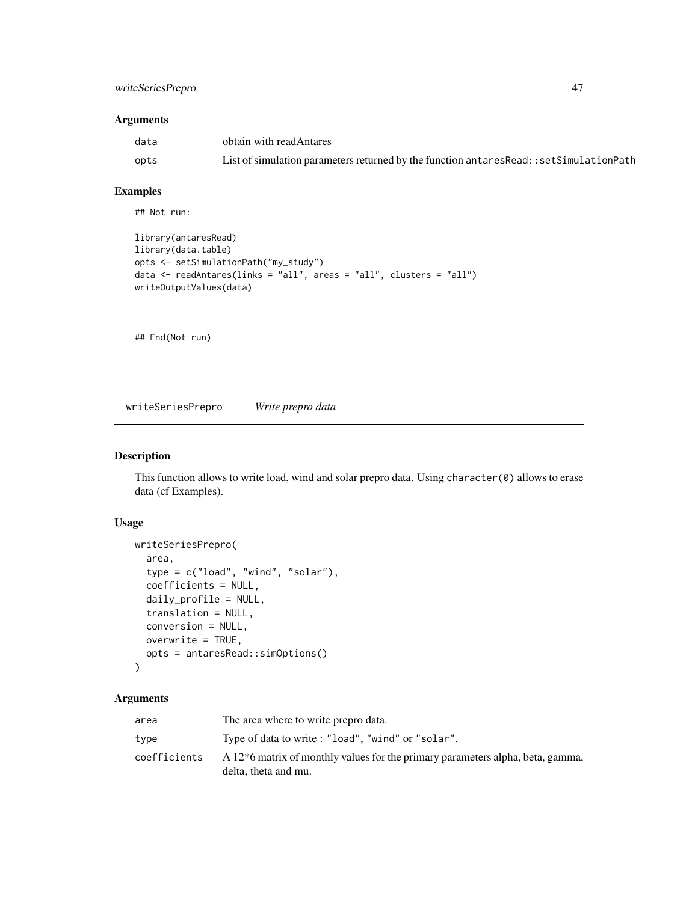## <span id="page-46-0"></span>writeSeriesPrepro 47

#### Arguments

| data | obtain with readAntares                                                                   |
|------|-------------------------------------------------------------------------------------------|
| opts | List of simulation parameters returned by the function antares Read:: set Simulation Path |

## Examples

## Not run:

```
library(antaresRead)
library(data.table)
opts <- setSimulationPath("my_study")
data <- readAntares(links = "all", areas = "all", clusters = "all")
writeOutputValues(data)
```
## End(Not run)

writeSeriesPrepro *Write prepro data*

#### Description

This function allows to write load, wind and solar prepro data. Using character(0) allows to erase data (cf Examples).

#### Usage

```
writeSeriesPrepro(
  area,
  type = c("load", "wind", "solar"),
  coefficients = NULL,
  daily_profile = NULL,
  translation = NULL,
  conversion = NULL,
 overwrite = TRUE,
  opts = antaresRead::simOptions()
\lambda
```

| area         | The area where to write prepro data.                                                        |
|--------------|---------------------------------------------------------------------------------------------|
| type         | Type of data to write: "load", "wind" or "solar".                                           |
| coefficients | A 12 <sup>*</sup> 6 matrix of monthly values for the primary parameters alpha, beta, gamma, |
|              | delta, theta and mu.                                                                        |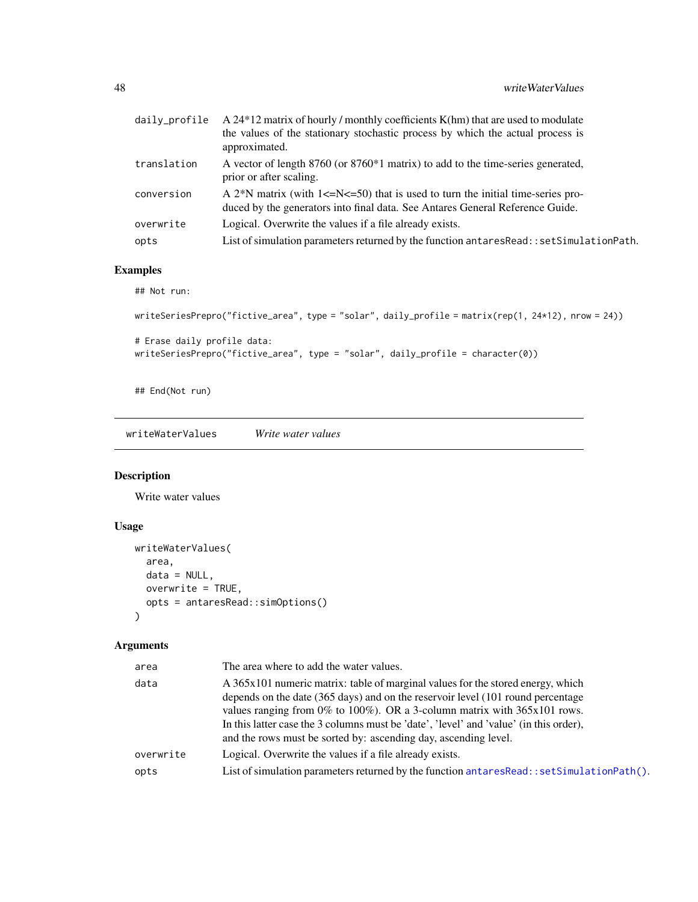<span id="page-47-0"></span>

| daily_profile | A $24*12$ matrix of hourly / monthly coefficients K(hm) that are used to modulate<br>the values of the stationary stochastic process by which the actual process is<br>approximated.    |
|---------------|-----------------------------------------------------------------------------------------------------------------------------------------------------------------------------------------|
| translation   | A vector of length 8760 (or 8760*1 matrix) to add to the time-series generated,<br>prior or after scaling.                                                                              |
| conversion    | A 2 <sup>*</sup> N matrix (with $1 \leq N \leq 50$ ) that is used to turn the initial time-series pro-<br>duced by the generators into final data. See Antares General Reference Guide. |
| overwrite     | Logical. Overwrite the values if a file already exists.                                                                                                                                 |
| opts          | List of simulation parameters returned by the function antaresRead::setSimulationPath.                                                                                                  |

# Examples

## Not run:

```
writeSeriesPrepro("fictive_area", type = "solar", daily_profile = matrix(rep(1, 24*12), nrow = 24))
# Erase daily profile data:
writeSeriesPrepro("fictive_area", type = "solar", daily_profile = character(0))
```
## End(Not run)

writeWaterValues *Write water values*

# Description

Write water values

## Usage

```
writeWaterValues(
  area,
  data = NULL,overwrite = TRUE,
  opts = antaresRead::simOptions()
\mathcal{L}
```

| area      | The area where to add the water values.                                                                                                                                                                                                                                                                                                                                                                     |
|-----------|-------------------------------------------------------------------------------------------------------------------------------------------------------------------------------------------------------------------------------------------------------------------------------------------------------------------------------------------------------------------------------------------------------------|
| data      | A 365x101 numeric matrix: table of marginal values for the stored energy, which<br>depends on the date (365 days) and on the reservoir level (101 round percentage<br>values ranging from 0% to 100%). OR a 3-column matrix with 365x101 rows.<br>In this latter case the 3 columns must be 'date', 'level' and 'value' (in this order),<br>and the rows must be sorted by: ascending day, ascending level. |
| overwrite | Logical. Overwrite the values if a file already exists.                                                                                                                                                                                                                                                                                                                                                     |
| opts      | List of simulation parameters returned by the function antares Read: : set Simulation Path().                                                                                                                                                                                                                                                                                                               |
|           |                                                                                                                                                                                                                                                                                                                                                                                                             |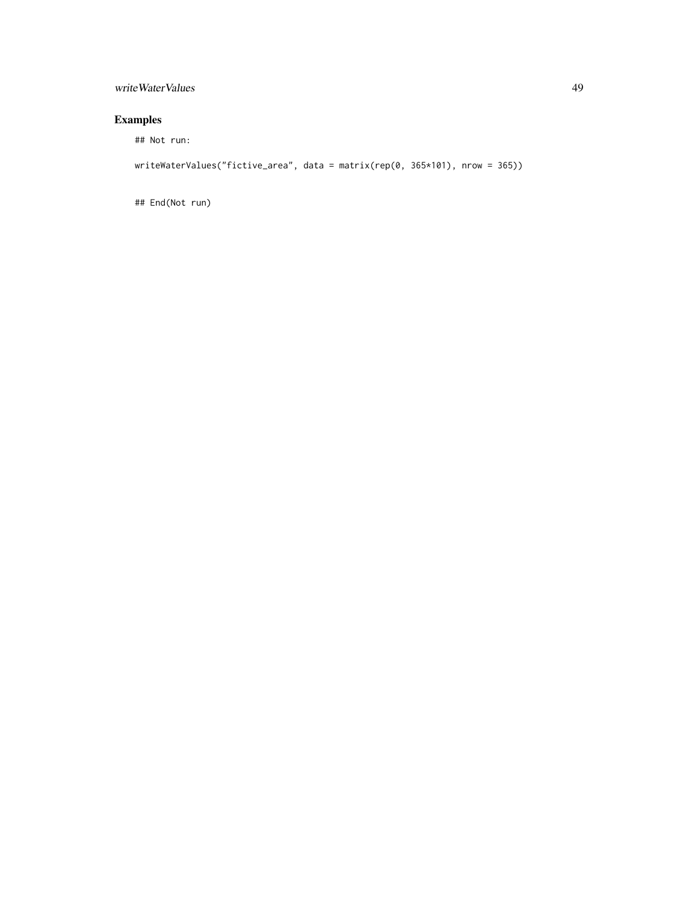## writeWaterValues 49

# Examples

## Not run:

writeWaterValues("fictive\_area", data = matrix(rep(0, 365\*101), nrow = 365))

## End(Not run)